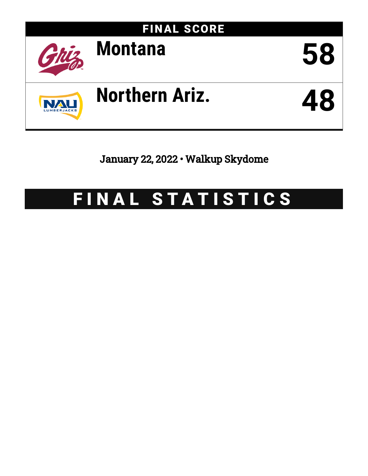

January 22, 2022 • Walkup Skydome

# FINAL STATISTICS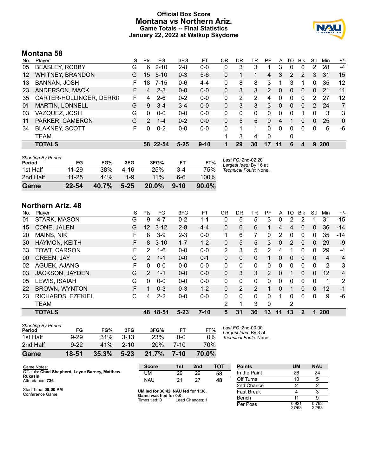### **Official Box Score Montana vs Northern Ariz. Game Totals -- Final Statistics January 22, 2022 at Walkup Skydome**



## **Montana 58**

| No.               | Plaver                   | S  | <b>Pts</b>    | FG       | 3FG      | FT       | OR       | DR | TR | PF             | A        | TO | Blk          | Stl      | Min        | $+/-$          |
|-------------------|--------------------------|----|---------------|----------|----------|----------|----------|----|----|----------------|----------|----|--------------|----------|------------|----------------|
| 05                | <b>BEASLEY, ROBBY</b>    | G  | 6             | $2 - 10$ | $2 - 8$  | $0-0$    | 0        | 3  | 3  |                | 3        | 0  | 0            | 2        | 28         | $-4$           |
| $12 \overline{ }$ | <b>WHITNEY, BRANDON</b>  | G  | 15            | $5 - 10$ | $0 - 3$  | $5-6$    | 0        |    |    | $\overline{4}$ | 3        | 2  | 2            | 3        | 31         | 15             |
| 13                | <b>BANNAN, JOSH</b>      | F  | 18            | $7 - 15$ | $0 - 6$  | $4 - 4$  | $\Omega$ | 8  | 8  | 3              | 1        | 3  |              | 0        | 35         | 12             |
| 23                | ANDERSON, MACK           | F. | 4             | $2 - 3$  | $0 - 0$  | $0 - 0$  | 0        | 3  | 3  | $\mathcal{P}$  | $\Omega$ | 0  | $\mathbf{0}$ | $\Omega$ | 21         | 11             |
| 35                | CARTER-HOLLINGER, DERRIG | F. | 4             | $2-6$    | $0 - 2$  | $0 - 0$  | 0        | 2  | 2  | 4              | $\Omega$ | 0  | 0            | 2        | 27         | 12             |
| 01                | <b>MARTIN, LONNELL</b>   | G  | 9             | $3 - 4$  | $3 - 4$  | $0 - 0$  | 0        | 3  | 3  | 3              | 0        | 0  | $\Omega$     | 2        | 24         | $\overline{7}$ |
| 03                | VAZQUEZ, JOSH            | G  | 0             | $0 - 0$  | $0 - 0$  | $0 - 0$  | 0        | 0  | 0  | 0              | 0        | 0  |              | 0        | 3          | 3              |
| 11                | PARKER, CAMERON          | G  | $\mathcal{P}$ | $1 - 4$  | $0 - 2$  | $0 - 0$  | $\Omega$ | 5  | 5  | $\Omega$       | 4        |    | 0            | $\Omega$ | 25         | $\mathbf{0}$   |
| 34                | <b>BLAKNEY, SCOTT</b>    | F. | 0             | $0 - 2$  | $0 - 0$  | $0 - 0$  | $\Omega$ |    |    | 0              | 0        | 0  | 0            | 0        | 6          | -6             |
|                   | TEAM                     |    |               |          |          |          |          | 3  | 4  | $\Omega$       |          | 0  |              |          |            |                |
|                   | <b>TOTALS</b>            |    | 58.           | 22-54    | $5 - 25$ | $9 - 10$ |          | 29 | 30 | 17             | 11       | 6  | 4            | 9        | <b>200</b> |                |

| <b>Shooting By Period</b><br>Period | FG        | FG%   | 3FG      | 3FG%     | FT       | FT%   | Last FG: 2nd-02:20<br>Largest lead: By 16 at |
|-------------------------------------|-----------|-------|----------|----------|----------|-------|----------------------------------------------|
| 1st Half                            | $11 - 29$ | 38%   | 4-16     | 25%      | $3 - 4$  | 75%   | Technical Fouls: None.                       |
| 2nd Half                            | $11 - 25$ | 44%   | 1-9      | 11%      | 6-6      | 100%  |                                              |
| Game                                | $22 - 54$ | 40.7% | $5 - 25$ | $20.0\%$ | $9 - 10$ | 90.0% |                                              |

# **Northern Ariz. 48**

| No. | Plaver               | S | Pts             | FG        | 3FG      | FT       | 0R           | DR | TR             | PF            | A            | TO | Blk          | Stl         | Min | $+/-$          |
|-----|----------------------|---|-----------------|-----------|----------|----------|--------------|----|----------------|---------------|--------------|----|--------------|-------------|-----|----------------|
| 01  | STARK, MASON         | G | 9               | 4-7       | $0 - 2$  | 1-1      | 0            | 5  | 5              | 3             | 0            | 2  | 2            |             | 31  | $-15$          |
| 15  | CONE, JALEN          | G | 12 <sup>2</sup> | $3 - 12$  | $2 - 8$  | $4 - 4$  | 0            | 6  | 6              |               | 4            | 4  | 0            | 0           | 36  | $-14$          |
| 20  | <b>MAINS, NIK</b>    | F | 8               | $3-9$     | $2 - 3$  | $0-0$    |              | 6  |                | 0             | 2            | 0  | 0            | 0           | 35  | $-14$          |
| 30  | HAYMON, KEITH        | F | 8               | $3 - 10$  | $1 - 7$  | $1 - 2$  | $\Omega$     | 5  | 5              | 3             | $\mathbf{0}$ | 2  | $\mathbf{0}$ | 0           | 29  | $-9$           |
| 33  | TOWT, CARSON         | F | 2               | 1-6       | $0 - 0$  | $0 - 0$  | 2            | 3  | 5              | $\mathcal{P}$ | 4            | 1  | 0            | 0           | 29  | -4             |
| 00  | <b>GREEN, JAY</b>    | G | $\mathcal{P}$   | $1 - 1$   | $0 - 0$  | $0 - 1$  | 0            | 0  | 0              |               | 0            | 0  | $\mathbf{0}$ | $\Omega$    | 4   | $\overline{4}$ |
| 02  | AGUEK, AJANG         | F | 0               | $0 - 0$   | $0 - 0$  | $0 - 0$  | $\Omega$     | 0  | 0              | 0             | 0            | 0  | 0            | 0           | 2   | 3              |
| 03  | JACKSON, JAYDEN      | G | $\mathcal{P}$   | $1 - 1$   | $0 - 0$  | $0 - 0$  | $\Omega$     | 3  | 3              | $\mathcal{P}$ | $\Omega$     | 1  | 0            | $\Omega$    | 12  | $\overline{4}$ |
| 05  | LEWIS, ISAIAH        | G | $\Omega$        | $0 - 0$   | $0 - 0$  | $0 - 0$  | $\mathbf{0}$ | 0  | 0              | 0             | 0            | 0  | 0            | $\mathbf 0$ |     | $\overline{2}$ |
| 22  | <b>BROWN, WYNTON</b> | F |                 | $0 - 3$   | $0 - 3$  | $1 - 2$  | $\Omega$     | 2  | $\overline{2}$ |               | $\Omega$     | 1  | $\mathbf{0}$ | $\Omega$    | 12  | $-1$           |
| 23  | RICHARDS, EZEKIEL    | С | 4               | $2 - 2$   | $0 - 0$  | $0 - 0$  | $\Omega$     | 0  | $\Omega$       | 0             | 1            | 0  | $\Omega$     | 0           | 9   | -6             |
|     | <b>TEAM</b>          |   |                 |           |          |          | 2            | 1  | 3              | 0             |              | 2  |              |             |     |                |
|     | <b>TOTALS</b>        |   | 48              | $18 - 51$ | $5 - 23$ | $7 - 10$ | 5            | 31 | 36             | 13            | 11           | 13 | 2            |             | 200 |                |

| Game                                | 18-51    | 35.3% | $5 - 23$ | 21.7% | $7 - 10$ | 70.0% |                                             |
|-------------------------------------|----------|-------|----------|-------|----------|-------|---------------------------------------------|
| 2nd Half                            | $9 - 22$ | 41%   | $2 - 10$ | 20%   | 7-10     | 70%   |                                             |
| 1st Half                            | $9 - 29$ | 31%   | $3-13$   | 23%   | 0-0      | $0\%$ | Technical Fouls: None.                      |
| <b>Shooting By Period</b><br>Period | FG       | FG%   | 3FG      | 3FG%  | FT       | FT%   | Last FG: 2nd-00:00<br>Largest lead: By 3 at |

**Score 1st 2nd TOT** UM 29 29 **58** NAU 21 27 **48 Points UM NAU** In the Paint 26 24 Off Turns 10 5 2nd Chance 2 2 2 Fast Break 1 4 3 Bench 11 9

Per Poss

0.921<br>27/63

0.762 22/63

Start Time: **09:00 PM** Conference Game;

**Rukasin** Attendance: **736**

Game Notes: Officials: **Chad Shepherd, Layne Barney, Matthew**

**UM led for 36:42. NAU led for 1:38. Game was tied for 0:0.** Times tied: **0** Lead Changes: **1**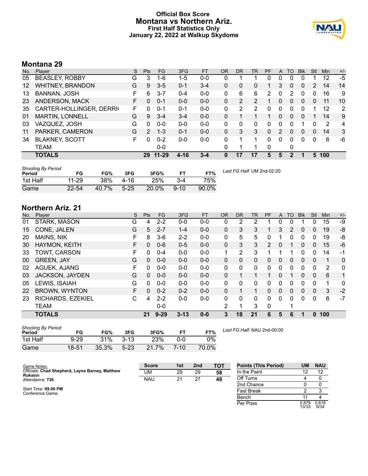### **Official Box Score Montana vs Northern Ariz. First Half Statistics Only January 22, 2022 at Walkup Skydome**



# **Montana 29**

| No. | Plaver                  | S  | <b>Pts</b>    | <b>FG</b> | 3FG     | <b>FT</b> | <b>OR</b> | <b>DR</b> | TR             | PF       | A        | TO | <b>Blk</b>     | Stl      | Min | $+/-$ |
|-----|-------------------------|----|---------------|-----------|---------|-----------|-----------|-----------|----------------|----------|----------|----|----------------|----------|-----|-------|
| 05  | <b>BEASLEY, ROBBY</b>   | G  | 3             | 1-6       | 1-5     | $0 - 0$   | 0         |           |                | 0        | 0        | 0  | 0              |          | 12  | $-5$  |
| 12  | <b>WHITNEY, BRANDON</b> | G  | 9             | $3 - 5$   | $0 - 1$ | $3 - 4$   | 0         | 0         | 0              |          | 3        | 0  | 0              | 2        | 14  | 14    |
| 13  | <b>BANNAN, JOSH</b>     | F  | 6             | $3 - 7$   | $0 - 4$ | $0-0$     | 0         | 6         | 6              | 2        | 0        | 2  | 0              | 0        | 16  | 9     |
| 23  | ANDERSON, MACK          | F. | 0             | $0 - 1$   | $0 - 0$ | $0 - 0$   | 0         | 2         | $\overline{2}$ |          | 0        | 0  | $\overline{0}$ | 0        | 11  | 10    |
| 35  | CARTER-HOLLINGER, DERRI | F. | 0             | $0 - 1$   | $0 - 1$ | $0 - 0$   | 0         | 2         | 2              | 0        | 0        | 0  | 0              |          | 12  | 2     |
| 01  | MARTIN, LONNELL         | G  | 9             | $3 - 4$   | $3 - 4$ | $0 - 0$   | 0         |           |                |          | $\Omega$ | 0  | $\Omega$       |          | 14  | 9     |
| 03  | VAZQUEZ, JOSH           | G  | 0             | $0 - 0$   | $0 - 0$ | $0 - 0$   | 0         | 0         | 0              | 0        | 0        | 0  |                | 0        | 2   | 4     |
| 11  | PARKER, CAMERON         | G  | $\mathcal{P}$ | $1 - 3$   | $0 - 1$ | $0 - 0$   | $\Omega$  | 3         | 3              | $\Omega$ | 2        | 0  | $\Omega$       | 0        | 14  | 3     |
| 34  | <b>BLAKNEY, SCOTT</b>   | F  | 0             | $0 - 2$   | $0 - 0$ | $0 - 0$   | 0         |           | 1.             | 0        | 0        | 0  | $\Omega$       | $\Omega$ | 6   | -6    |
|     | TEAM                    |    |               | $0-0$     |         |           | 0         |           |                | 0        |          | 0  |                |          |     |       |
|     | <b>TOTALS</b>           |    | 29            | $11 - 29$ | 4-16    | 3-4       | 0         |           | 17             | 5        | 5        | 2  |                | 5        | 100 |       |

| <b>Shooting By Period</b><br>Period | FG        | FG%        | 3FG    | 3FG%  |          | FT%   | Last FG Half: UM 2nd-02:20 |
|-------------------------------------|-----------|------------|--------|-------|----------|-------|----------------------------|
| 1st Half                            | $11 - 29$ | <b>38%</b> | 4-16   | 25%   | $3 - 4$  | 75%   |                            |
| Game                                | $22 - 54$ | 40.7%      | $5-25$ | 20.0% | $9 - 10$ | 90.0% |                            |

# **Northern Ariz. 21**

| No. | Player               | S  | <b>Pts</b> | <b>FG</b> | 3FG      | <b>FT</b> | <b>OR</b> | <b>DR</b> | TR           | PF            | A        | TO | <b>Blk</b>   | Stl          | Min | $+/-$        |
|-----|----------------------|----|------------|-----------|----------|-----------|-----------|-----------|--------------|---------------|----------|----|--------------|--------------|-----|--------------|
| 01  | STARK, MASON         | G  | 4          | $2 - 2$   | $0-0$    | $0-0$     | 0         | 2         | 2            |               | 0        | 0  |              | 0            | 15  | -9           |
| 15  | CONE, JALEN          | G  | 5          | $2 - 7$   | $1 - 4$  | $0 - 0$   | 0         | 3         | 3            |               | 3        | 2  | $\mathbf{0}$ | $\Omega$     | 19  | -8           |
| 20  | <b>MAINS, NIK</b>    | F  | 8          | $3-6$     | $2 - 2$  | $0 - 0$   | 0         | 5         | 5            | 0             |          | 0  | 0            | 0            | 19  | -8           |
| 30  | HAYMON, KEITH        | F. | 0          | $0 - 6$   | $0 - 5$  | $0 - 0$   | 0         | 3         | 3            | $\mathcal{P}$ | 0        |    | $\mathbf{0}$ | 0            | 15  | $-6$         |
| 33  | TOWT, CARSON         | F  | 0          | $0 - 4$   | $0 - 0$  | $0 - 0$   | 1         | 2         | 3            |               | 1        |    | $\Omega$     | 0            | 14  | $-1$         |
| 00  | <b>GREEN, JAY</b>    | G  | 0          | $0 - 0$   | $0 - 0$  | $0 - 0$   | $\Omega$  | $\Omega$  | $\Omega$     | 0             | 0        | 0  | $\Omega$     | $\Omega$     | 1   | $\Omega$     |
| 02  | AGUEK, AJANG         | F  | 0          | $0 - 0$   | $0 - 0$  | $0 - 0$   | 0         | 0         | $\mathbf{0}$ | $\Omega$      | 0        | 0  | 0            | 0            | 2   | $\mathbf{0}$ |
| 03  | JACKSON, JAYDEN      | G  | 0          | $0 - 0$   | $0 - 0$  | $0 - 0$   | $\Omega$  |           | 1            | 1             | $\Omega$ | 1  | $\mathbf{0}$ | $\Omega$     | 6   | 1            |
| 05  | LEWIS, ISAIAH        | G  | 0          | $0 - 0$   | $0 - 0$  | $0 - 0$   | 0         | 0         | $\Omega$     | 0             | 0        | 0  | 0            | 0            | 1   | 0            |
| 22  | <b>BROWN, WYNTON</b> | F  | 0          | $0 - 2$   | $0 - 2$  | $0 - 0$   | $\Omega$  |           |              | 0             | 0        | 0  | $\mathbf{0}$ | $\mathbf{0}$ | 3   | $-2$         |
| 23  | RICHARDS, EZEKIEL    | C  | 4          | $2 - 2$   | $0 - 0$  | $0 - 0$   | 0         | $\Omega$  | $\Omega$     | $\Omega$      | 0        | 0  | $\Omega$     | $\Omega$     | 6   | $-7$         |
|     | <b>TEAM</b>          |    |            | $0 - 0$   |          |           | 2         |           | 3            | $\Omega$      |          | 1  |              |              |     |              |
|     | <b>TOTALS</b>        |    | 21         | $9 - 29$  | $3 - 13$ | $0 - 0$   | 3         | 18        | 21           | 6             | 5        | 6  |              | 0            | 100 |              |

| <b>Shooting By Period</b><br>Period | FG       | FG%   | 3FG      | 3FG%  |          | FT%   |
|-------------------------------------|----------|-------|----------|-------|----------|-------|
| 1st Half                            | $9 - 29$ | 31%   | $3-13$   | 23%   | ი-ი      | $0\%$ |
| Game                                | 18-51    | 35.3% | $5 - 23$ | 21.7% | $7 - 10$ | 70.0% |

*Last FG Half:* NAU 2nd-00:00

| Game Notes:                                                | <b>Score</b> | 1st | 2 <sub>nd</sub> | TOT | <b>Points (This Period)</b> | UM             | <b>NAU</b>    |
|------------------------------------------------------------|--------------|-----|-----------------|-----|-----------------------------|----------------|---------------|
| Officials: Chad Shepherd, Layne Barney, Matthew<br>Rukasin | UM           | 29  | 29              | 58  | In the Paint                |                | 12            |
| Attendance: 736                                            | <b>NAU</b>   | 21  | 27              | 48  | Off Turns                   |                |               |
|                                                            |              |     |                 |     | 2nd Chance                  |                |               |
| Start Time: 09:00 PM<br>Conference Game:                   |              |     |                 |     | <b>Fast Break</b>           |                |               |
|                                                            |              |     |                 |     | Bench                       |                |               |
|                                                            |              |     |                 |     | Per Poss                    | 0.879<br>13/33 | 0.618<br>9/34 |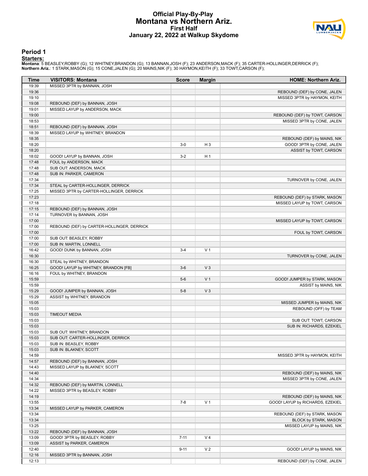#### **Official Play-By-Play Montana vs Northern Ariz. First Half January 22, 2022 at Walkup Skydome**



#### **Period 1**

<mark>Starters:</mark><br>Montana: 5 BEASLEY,ROBBY (G); 12 WHITNEY,BRANDON (G); 13 BANNAN,JOSH (F); 23 ANDERSON,MACK (F); 35 CARTER-HOLLINGER,DERRICK (F);<br>**Northern Ariz.**: 1 STARK,MASON (G); 15 CONE,JALEN (G); 20 MAINS,NIK (F); 30 HAYM

| Time           | <b>VISITORS: Montana</b>                                      | <b>Score</b> | <b>Margin</b>  | <b>HOME: Northern Ariz.</b>      |
|----------------|---------------------------------------------------------------|--------------|----------------|----------------------------------|
| 19:39          | MISSED 3PTR by BANNAN, JOSH                                   |              |                |                                  |
| 19:36          |                                                               |              |                | REBOUND (DEF) by CONE, JALEN     |
| 19:10          |                                                               |              |                | MISSED 3PTR by HAYMON, KEITH     |
| 19:08          | REBOUND (DEF) by BANNAN, JOSH                                 |              |                |                                  |
| 19:01          | MISSED LAYUP by ANDERSON, MACK                                |              |                |                                  |
| 19:00          |                                                               |              |                | REBOUND (DEF) by TOWT, CARSON    |
| 18:53          |                                                               |              |                | MISSED 3PTR by CONE, JALEN       |
| 18:51          | REBOUND (DEF) by BANNAN, JOSH                                 |              |                |                                  |
| 18:39          | MISSED LAYUP by WHITNEY, BRANDON                              |              |                |                                  |
| 18:35          |                                                               |              |                | REBOUND (DEF) by MAINS, NIK      |
| 18:20          |                                                               | $3-0$        | H <sub>3</sub> | GOOD! 3PTR by CONE, JALEN        |
| 18:20          | GOOD! LAYUP by BANNAN, JOSH                                   |              | H <sub>1</sub> | ASSIST by TOWT, CARSON           |
| 18:02          | FOUL by ANDERSON, MACK                                        | $3-2$        |                |                                  |
| 17:48<br>17:48 | SUB OUT: ANDERSON, MACK                                       |              |                |                                  |
| 17:48          | SUB IN: PARKER, CAMERON                                       |              |                |                                  |
| 17:34          |                                                               |              |                | TURNOVER by CONE, JALEN          |
| 17:34          | STEAL by CARTER-HOLLINGER, DERRICK                            |              |                |                                  |
| 17:25          | MISSED 3PTR by CARTER-HOLLINGER, DERRICK                      |              |                |                                  |
| 17:23          |                                                               |              |                | REBOUND (DEF) by STARK, MASON    |
| 17:18          |                                                               |              |                | MISSED LAYUP by TOWT, CARSON     |
| 17:15          | REBOUND (DEF) by BANNAN, JOSH                                 |              |                |                                  |
| 17:14          | TURNOVER by BANNAN, JOSH                                      |              |                |                                  |
| 17:00          |                                                               |              |                | MISSED LAYUP by TOWT, CARSON     |
| 17:00          | REBOUND (DEF) by CARTER-HOLLINGER, DERRICK                    |              |                |                                  |
| 17:00          |                                                               |              |                | FOUL by TOWT, CARSON             |
| 17:00          | SUB OUT: BEASLEY, ROBBY                                       |              |                |                                  |
| 17:00          | SUB IN: MARTIN, LONNELL                                       |              |                |                                  |
| 16:42          | GOOD! DUNK by BANNAN, JOSH                                    | $3 - 4$      | V <sub>1</sub> |                                  |
| 16:30          |                                                               |              |                | TURNOVER by CONE, JALEN          |
| 16:30          | STEAL by WHITNEY, BRANDON                                     |              |                |                                  |
| 16:25          | GOOD! LAYUP by WHITNEY, BRANDON [FB]                          | $3-6$        | $V_3$          |                                  |
| 16:16          | FOUL by WHITNEY, BRANDON                                      |              |                |                                  |
| 15:59          |                                                               | $5-6$        | V <sub>1</sub> | GOOD! JUMPER by STARK, MASON     |
| 15:59          |                                                               |              |                | ASSIST by MAINS, NIK             |
| 15:29          | GOOD! JUMPER by BANNAN, JOSH                                  | $5 - 8$      | $V_3$          |                                  |
| 15:29          | ASSIST by WHITNEY, BRANDON                                    |              |                |                                  |
| 15:05          |                                                               |              |                | MISSED JUMPER by MAINS, NIK      |
| 15:03          |                                                               |              |                | REBOUND (OFF) by TEAM            |
| 15:03          | <b>TIMEOUT MEDIA</b>                                          |              |                |                                  |
| 15:03          |                                                               |              |                | SUB OUT: TOWT, CARSON            |
| 15:03          |                                                               |              |                | SUB IN: RICHARDS, EZEKIEL        |
| 15:03          | SUB OUT: WHITNEY, BRANDON                                     |              |                |                                  |
| 15:03          | SUB OUT: CARTER-HOLLINGER, DERRICK                            |              |                |                                  |
| 15:03          | SUB IN: BEASLEY, ROBBY                                        |              |                |                                  |
| 15:03          | SUB IN: BLAKNEY, SCOTT                                        |              |                |                                  |
| 14:59          |                                                               |              |                | MISSED 3PTR by HAYMON, KEITH     |
| 14:57          | REBOUND (DEF) by BANNAN, JOSH                                 |              |                |                                  |
| 14:43          | MISSED LAYUP by BLAKNEY, SCOTT                                |              |                |                                  |
| 14:40          |                                                               |              |                | REBOUND (DEF) by MAINS, NIK      |
| 14:34          |                                                               |              |                | MISSED 3PTR by CONE, JALEN       |
| 14:32          | REBOUND (DEF) by MARTIN, LONNELL                              |              |                |                                  |
| 14:22          | MISSED 3PTR by BEASLEY, ROBBY                                 |              |                |                                  |
| 14:19          |                                                               |              |                | REBOUND (DEF) by MAINS, NIK      |
| 13:55          |                                                               | $7 - 8$      | V <sub>1</sub> | GOOD! LAYUP by RICHARDS, EZEKIEL |
| 13:34          | MISSED LAYUP by PARKER, CAMERON                               |              |                | REBOUND (DEF) by STARK, MASON    |
| 13:34          |                                                               |              |                |                                  |
| 13:34          |                                                               |              |                | BLOCK by STARK, MASON            |
| 13:25<br>13:22 |                                                               |              |                | MISSED LAYUP by MAINS, NIK       |
| 13:09          | REBOUND (DEF) by BANNAN, JOSH<br>GOOD! 3PTR by BEASLEY, ROBBY | $7 - 11$     | V <sub>4</sub> |                                  |
| 13:09          |                                                               |              |                |                                  |
| 12:40          | ASSIST by PARKER, CAMERON                                     | $9 - 11$     | V <sub>2</sub> | GOOD! LAYUP by MAINS, NIK        |
| 12:16          | MISSED 3PTR by BANNAN, JOSH                                   |              |                |                                  |
| 12:13          |                                                               |              |                | REBOUND (DEF) by CONE, JALEN     |
|                |                                                               |              |                |                                  |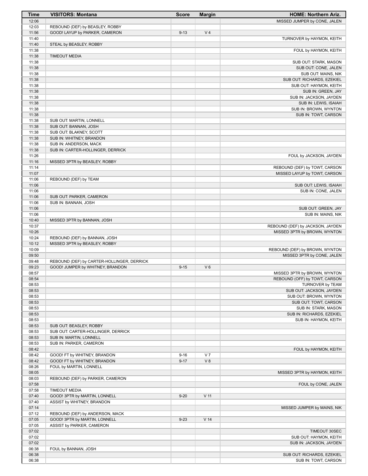| <b>Time</b>    | <b>VISITORS: Montana</b>                                | <b>Score</b> | <b>Margin</b>   | <b>HOME: Northern Ariz.</b>                          |
|----------------|---------------------------------------------------------|--------------|-----------------|------------------------------------------------------|
| 12:06          |                                                         |              |                 | MISSED JUMPER by CONE, JALEN                         |
| 12:03          | REBOUND (DEF) by BEASLEY, ROBBY                         |              |                 |                                                      |
| 11:56<br>11:40 | GOOD! LAYUP by PARKER, CAMERON                          | $9 - 13$     | V <sub>4</sub>  |                                                      |
| 11:40          | STEAL by BEASLEY, ROBBY                                 |              |                 | TURNOVER by HAYMON, KEITH                            |
| 11:38          |                                                         |              |                 | FOUL by HAYMON, KEITH                                |
| 11:38          | <b>TIMEOUT MEDIA</b>                                    |              |                 |                                                      |
| 11:38          |                                                         |              |                 | SUB OUT: STARK, MASON                                |
| 11:38          |                                                         |              |                 | SUB OUT: CONE, JALEN                                 |
| 11:38          |                                                         |              |                 | SUB OUT: MAINS, NIK                                  |
| 11:38<br>11:38 |                                                         |              |                 | SUB OUT: RICHARDS, EZEKIEL<br>SUB OUT: HAYMON, KEITH |
| 11:38          |                                                         |              |                 | SUB IN: GREEN, JAY                                   |
| 11:38          |                                                         |              |                 | SUB IN: JACKSON, JAYDEN                              |
| 11:38          |                                                         |              |                 | SUB IN: LEWIS, ISAIAH                                |
| 11:38          |                                                         |              |                 | SUB IN: BROWN, WYNTON                                |
| 11:38          |                                                         |              |                 | SUB IN: TOWT, CARSON                                 |
| 11:38          | SUB OUT: MARTIN, LONNELL                                |              |                 |                                                      |
| 11:38<br>11:38 | SUB OUT: BANNAN, JOSH<br>SUB OUT: BLAKNEY, SCOTT        |              |                 |                                                      |
| 11:38          | SUB IN: WHITNEY, BRANDON                                |              |                 |                                                      |
| 11:38          | SUB IN: ANDERSON, MACK                                  |              |                 |                                                      |
| 11:38          | SUB IN: CARTER-HOLLINGER, DERRICK                       |              |                 |                                                      |
| 11:26          |                                                         |              |                 | FOUL by JACKSON, JAYDEN                              |
| 11:16          | MISSED 3PTR by BEASLEY, ROBBY                           |              |                 |                                                      |
| 11:14          |                                                         |              |                 | REBOUND (DEF) by TOWT, CARSON                        |
| 11:07<br>11:06 | REBOUND (DEF) by TEAM                                   |              |                 | MISSED LAYUP by TOWT, CARSON                         |
| 11:06          |                                                         |              |                 | SUB OUT: LEWIS, ISAIAH                               |
| 11:06          |                                                         |              |                 | SUB IN: CONE, JALEN                                  |
| 11:06          | SUB OUT: PARKER, CAMERON                                |              |                 |                                                      |
| 11:06          | SUB IN: BANNAN, JOSH                                    |              |                 |                                                      |
| 11:06          |                                                         |              |                 | SUB OUT: GREEN, JAY                                  |
| 11:06          |                                                         |              |                 | SUB IN: MAINS, NIK                                   |
| 10:40<br>10:37 | MISSED 3PTR by BANNAN, JOSH                             |              |                 | REBOUND (DEF) by JACKSON, JAYDEN                     |
| 10:26          |                                                         |              |                 | MISSED 3PTR by BROWN, WYNTON                         |
| 10:24          | REBOUND (DEF) by BANNAN, JOSH                           |              |                 |                                                      |
| 10:12          | MISSED 3PTR by BEASLEY, ROBBY                           |              |                 |                                                      |
| 10:09          |                                                         |              |                 | REBOUND (DEF) by BROWN, WYNTON                       |
| 09:50          |                                                         |              |                 | MISSED 3PTR by CONE, JALEN                           |
| 09:48          | REBOUND (DEF) by CARTER-HOLLINGER, DERRICK              |              |                 |                                                      |
| 09:23<br>08:57 | GOOD! JUMPER by WHITNEY, BRANDON                        | $9 - 15$     | $V_6$           | MISSED 3PTR by BROWN, WYNTON                         |
| 08:54          |                                                         |              |                 | REBOUND (OFF) by TOWT, CARSON                        |
| 08:53          |                                                         |              |                 | TURNOVER by TEAM                                     |
| 08:53          |                                                         |              |                 | SUB OUT: JACKSON, JAYDEN                             |
| 08:53          |                                                         |              |                 | SUB OUT: BROWN, WYNTON                               |
| 08:53          |                                                         |              |                 | SUB OUT: TOWT, CARSON                                |
| 08:53          |                                                         |              |                 | SUB IN: STARK, MASON                                 |
| 08:53<br>08:53 |                                                         |              |                 | SUB IN: RICHARDS, EZEKIEL<br>SUB IN: HAYMON, KEITH   |
| 08:53          | SUB OUT: BEASLEY, ROBBY                                 |              |                 |                                                      |
| 08:53          | SUB OUT: CARTER-HOLLINGER, DERRICK                      |              |                 |                                                      |
| 08:53          | SUB IN: MARTIN, LONNELL                                 |              |                 |                                                      |
| 08:53          | SUB IN: PARKER, CAMERON                                 |              |                 |                                                      |
| 08:42          |                                                         |              |                 | FOUL by HAYMON, KEITH                                |
| 08:42          | GOOD! FT by WHITNEY, BRANDON                            | $9 - 16$     | V <sub>7</sub>  |                                                      |
| 08:42<br>08:26 | GOOD! FT by WHITNEY, BRANDON<br>FOUL by MARTIN, LONNELL | $9 - 17$     | V 8             |                                                      |
| 08:05          |                                                         |              |                 | MISSED 3PTR by HAYMON, KEITH                         |
| 08:03          | REBOUND (DEF) by PARKER, CAMERON                        |              |                 |                                                      |
| 07:58          |                                                         |              |                 | FOUL by CONE, JALEN                                  |
| 07:58          | <b>TIMEOUT MEDIA</b>                                    |              |                 |                                                      |
| 07:40          | GOOD! 3PTR by MARTIN, LONNELL                           | $9 - 20$     | V <sub>11</sub> |                                                      |
| 07:40          | ASSIST by WHITNEY, BRANDON                              |              |                 |                                                      |
| 07:14<br>07:12 | REBOUND (DEF) by ANDERSON, MACK                         |              |                 | MISSED JUMPER by MAINS, NIK                          |
| 07:05          | GOOD! 3PTR by MARTIN, LONNELL                           | $9 - 23$     | V <sub>14</sub> |                                                      |
| 07:05          | ASSIST by PARKER, CAMERON                               |              |                 |                                                      |
| 07:02          |                                                         |              |                 | TIMEOUT 30SEC                                        |
| 07:02          |                                                         |              |                 | SUB OUT: HAYMON, KEITH                               |
| 07:02          |                                                         |              |                 | SUB IN: JACKSON, JAYDEN                              |
| 06:38          | FOUL by BANNAN, JOSH                                    |              |                 |                                                      |
| 06:38          |                                                         |              |                 | SUB OUT: RICHARDS, EZEKIEL                           |
| 06:38          |                                                         |              |                 | SUB IN: TOWT, CARSON                                 |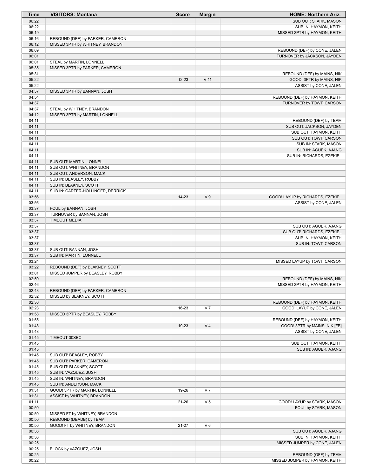| Time           | <b>VISITORS: Montana</b>                                     | <b>Score</b> | <b>Margin</b>   | <b>HOME: Northern Ariz.</b>                                 |
|----------------|--------------------------------------------------------------|--------------|-----------------|-------------------------------------------------------------|
| 06:22          |                                                              |              |                 | SUB OUT: STARK, MASON                                       |
| 06:22          |                                                              |              |                 | SUB IN: HAYMON, KEITH                                       |
| 06:19          |                                                              |              |                 | MISSED 3PTR by HAYMON, KEITH                                |
| 06:16          | REBOUND (DEF) by PARKER, CAMERON                             |              |                 |                                                             |
| 06:12<br>06:09 | MISSED 3PTR by WHITNEY, BRANDON                              |              |                 |                                                             |
| 06:01          |                                                              |              |                 | REBOUND (DEF) by CONE, JALEN<br>TURNOVER by JACKSON, JAYDEN |
| 06:01          | STEAL by MARTIN, LONNELL                                     |              |                 |                                                             |
| 05:35          | MISSED 3PTR by PARKER, CAMERON                               |              |                 |                                                             |
| 05:31          |                                                              |              |                 | REBOUND (DEF) by MAINS, NIK                                 |
| 05:22          |                                                              | $12 - 23$    | V <sub>11</sub> | GOOD! 3PTR by MAINS, NIK                                    |
| 05:22          |                                                              |              |                 | ASSIST by CONE, JALEN                                       |
| 04:57          | MISSED 3PTR by BANNAN, JOSH                                  |              |                 |                                                             |
| 04:54          |                                                              |              |                 | REBOUND (DEF) by HAYMON, KEITH                              |
| 04:37          |                                                              |              |                 | TURNOVER by TOWT, CARSON                                    |
| 04:37<br>04:12 | STEAL by WHITNEY, BRANDON<br>MISSED 3PTR by MARTIN, LONNELL  |              |                 |                                                             |
| 04:11          |                                                              |              |                 | REBOUND (DEF) by TEAM                                       |
| 04:11          |                                                              |              |                 | SUB OUT: JACKSON, JAYDEN                                    |
| 04:11          |                                                              |              |                 | SUB OUT: HAYMON, KEITH                                      |
| 04:11          |                                                              |              |                 | SUB OUT: TOWT, CARSON                                       |
| 04:11          |                                                              |              |                 | SUB IN: STARK, MASON                                        |
| 04:11          |                                                              |              |                 | SUB IN: AGUEK, AJANG                                        |
| 04:11          |                                                              |              |                 | SUB IN: RICHARDS, EZEKIEL                                   |
| 04:11          | SUB OUT: MARTIN, LONNELL                                     |              |                 |                                                             |
| 04:11          | SUB OUT: WHITNEY, BRANDON                                    |              |                 |                                                             |
| 04:11<br>04:11 | SUB OUT: ANDERSON, MACK<br>SUB IN: BEASLEY, ROBBY            |              |                 |                                                             |
| 04:11          | SUB IN: BLAKNEY, SCOTT                                       |              |                 |                                                             |
| 04:11          | SUB IN: CARTER-HOLLINGER, DERRICK                            |              |                 |                                                             |
| 03:56          |                                                              | $14 - 23$    | V <sub>9</sub>  | GOOD! LAYUP by RICHARDS, EZEKIEL                            |
| 03:56          |                                                              |              |                 | ASSIST by CONE, JALEN                                       |
| 03:37          | FOUL by BANNAN, JOSH                                         |              |                 |                                                             |
| 03:37          | TURNOVER by BANNAN, JOSH                                     |              |                 |                                                             |
| 03:37          | <b>TIMEOUT MEDIA</b>                                         |              |                 |                                                             |
| 03:37          |                                                              |              |                 | SUB OUT: AGUEK, AJANG                                       |
| 03:37<br>03:37 |                                                              |              |                 | SUB OUT: RICHARDS, EZEKIEL                                  |
| 03:37          |                                                              |              |                 | SUB IN: HAYMON, KEITH<br>SUB IN: TOWT, CARSON               |
| 03:37          | SUB OUT: BANNAN, JOSH                                        |              |                 |                                                             |
| 03:37          | SUB IN: MARTIN, LONNELL                                      |              |                 |                                                             |
| 03:24          |                                                              |              |                 | MISSED LAYUP by TOWT, CARSON                                |
| 03:22          | REBOUND (DEF) by BLAKNEY, SCOTT                              |              |                 |                                                             |
| 03:01          | MISSED JUMPER by BEASLEY, ROBBY                              |              |                 |                                                             |
| 02:59          |                                                              |              |                 | REBOUND (DEF) by MAINS, NIK                                 |
| 02:46          |                                                              |              |                 | MISSED 3PTR by HAYMON, KEITH                                |
| 02:43<br>02:32 | REBOUND (DEF) by PARKER, CAMERON<br>MISSED by BLAKNEY, SCOTT |              |                 |                                                             |
| 02:30          |                                                              |              |                 | REBOUND (DEF) by HAYMON, KEITH                              |
| 02:23          |                                                              | 16-23        | V <sub>7</sub>  | GOOD! LAYUP by CONE, JALEN                                  |
| 01:58          | MISSED 3PTR by BEASLEY, ROBBY                                |              |                 |                                                             |
| 01:55          |                                                              |              |                 | REBOUND (DEF) by HAYMON, KEITH                              |
| 01:48          |                                                              | 19-23        | V <sub>4</sub>  | GOOD! 3PTR by MAINS, NIK [FB]                               |
| 01:48          |                                                              |              |                 | ASSIST by CONE, JALEN                                       |
| 01:45          | TIMEOUT 30SEC                                                |              |                 |                                                             |
| 01:45          |                                                              |              |                 | SUB OUT: HAYMON, KEITH                                      |
| 01:45<br>01:45 | SUB OUT: BEASLEY, ROBBY                                      |              |                 | SUB IN: AGUEK, AJANG                                        |
| 01:45          | SUB OUT: PARKER, CAMERON                                     |              |                 |                                                             |
| 01:45          | SUB OUT: BLAKNEY, SCOTT                                      |              |                 |                                                             |
| 01:45          | SUB IN: VAZQUEZ, JOSH                                        |              |                 |                                                             |
| 01:45          | SUB IN: WHITNEY, BRANDON                                     |              |                 |                                                             |
| 01:45          | SUB IN: ANDERSON, MACK                                       |              |                 |                                                             |
| 01:31          | GOOD! 3PTR by MARTIN, LONNELL                                | 19-26        | V <sub>7</sub>  |                                                             |
| 01:31          | ASSIST by WHITNEY, BRANDON                                   |              |                 |                                                             |
| 01:11          |                                                              | 21-26        | V <sub>5</sub>  | GOOD! LAYUP by STARK, MASON                                 |
| 00:50          |                                                              |              |                 | FOUL by STARK, MASON                                        |
| 00:50<br>00:50 | MISSED FT by WHITNEY, BRANDON<br>REBOUND (DEADB) by TEAM     |              |                 |                                                             |
| 00:50          | GOOD! FT by WHITNEY, BRANDON                                 | 21-27        | $V_6$           |                                                             |
| 00:36          |                                                              |              |                 | SUB OUT: AGUEK, AJANG                                       |
| 00:36          |                                                              |              |                 | SUB IN: HAYMON, KEITH                                       |
| 00:25          |                                                              |              |                 | MISSED JUMPER by CONE, JALEN                                |
| 00:25          | BLOCK by VAZQUEZ, JOSH                                       |              |                 |                                                             |
| 00:25          |                                                              |              |                 | REBOUND (OFF) by TEAM                                       |
| 00:22          |                                                              |              |                 | MISSED JUMPER by HAYMON, KEITH                              |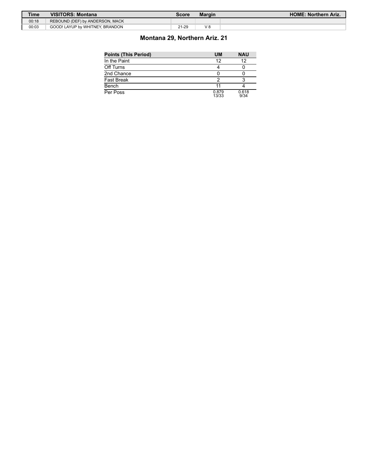| Time  | <b>VISITORS: Montana</b>        | Score | Margin | <b>HOME: Northern Ariz.</b> |
|-------|---------------------------------|-------|--------|-----------------------------|
| 00:18 | REBOUND (DEF) by ANDERSON, MACK |       |        |                             |
| 00:03 | GOOD! LAYUP by WHITNEY, BRANDON | 21-29 | V 8    |                             |

# **Montana 29, Northern Ariz. 21**

| <b>Points (This Period)</b> | <b>UM</b>      | <b>NAU</b>    |
|-----------------------------|----------------|---------------|
| In the Paint                | 12             | 12            |
| Off Turns                   |                |               |
| 2nd Chance                  |                |               |
| Fast Break                  |                |               |
| Bench                       |                |               |
| Per Poss                    | 0.879<br>13/33 | 0.618<br>9/34 |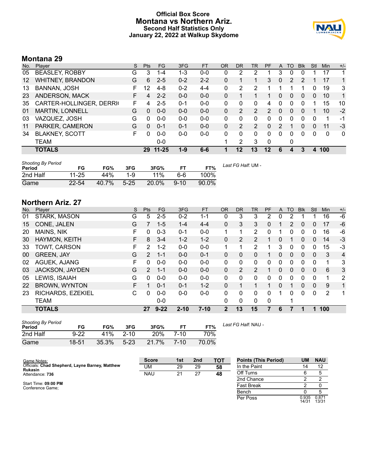### **Official Box Score Montana vs Northern Ariz. Second Half Statistics Only January 22, 2022 at Walkup Skydome**



# **Montana 29**

| No. | Plaver                   | S  | <b>Pts</b> | FG       | 3FG     | <b>FT</b> | <b>OR</b> | <b>DR</b> | TR             | PF             | A            | TO       | <b>B</b> lk | Stl      | Min         | $+/-$ |
|-----|--------------------------|----|------------|----------|---------|-----------|-----------|-----------|----------------|----------------|--------------|----------|-------------|----------|-------------|-------|
| 05  | <b>BEASLEY, ROBBY</b>    | G  | 3          | $1 - 4$  | 1-3     | $0 - 0$   | 0         | 2         | 2              |                | 3            | 0        | 0           |          | 17          |       |
| 12  | <b>WHITNEY, BRANDON</b>  | G  | 6          | $2 - 5$  | $0 - 2$ | $2 - 2$   | 0         | 1         |                | 3              | $\mathbf{0}$ | 2        | 2           |          | 17          | 1     |
| 13  | BANNAN, JOSH             |    | 12         | $4 - 8$  | $0 - 2$ | $4 - 4$   | 0         | 2         | 2              |                |              |          |             | 0        | 19          | 3     |
| 23  | ANDERSON, MACK           |    | 4          | $2 - 2$  | $0 - 0$ | $0-0$     | 0         | 1         |                | 1              | $\Omega$     | $\Omega$ | $\Omega$    | $\Omega$ | 10          | 1     |
| 35  | CARTER-HOLLINGER, DERRIG | F  | 4          | $2 - 5$  | $0 - 1$ | $0-0$     | 0         | 0         | 0              | 4              | 0            | 0        | $\Omega$    |          | 15          | 10    |
| 01  | <b>MARTIN, LONNELL</b>   | G  | 0          | $0 - 0$  | $0 - 0$ | $0 - 0$   | 0         | 2         | $\overline{2}$ | $\overline{2}$ | 0            | $\Omega$ | $\Omega$    |          | 10          | $-2$  |
| 03  | VAZQUEZ, JOSH            | G  | 0          | $0 - 0$  | $0 - 0$ | $0 - 0$   | 0         | 0         | 0              | 0              | 0            | 0        | 0           | 0        | 1           | -1    |
| 11  | PARKER, CAMERON          | G  | $\Omega$   | $0 - 1$  | $0 - 1$ | $0 - 0$   | 0         | 2         | 2              | 0              | 2            |          | 0           | 0        | 11          | $-3$  |
| 34  | <b>BLAKNEY, SCOTT</b>    | F. | $\Omega$   | $0 - 0$  | $0 - 0$ | $0 - 0$   | 0         | 0         | 0              | 0              | 0            | 0        | $\Omega$    | 0        | $\mathbf 0$ | 0     |
|     | TEAM                     |    |            | $0 - 0$  |         |           |           | 2         | 3              | $\Omega$       |              | 0        |             |          |             |       |
|     | <b>TOTALS</b>            |    |            | 29 11-25 | 1-9     | $6-6$     |           | 12        | 13             | $12 \,$        | 6            | 4        | 3           | 4        | 100         |       |

| <b>Shooting By Period</b><br>Period | FG        | FG%   | 3FG      | 3FG%  | ET       | FT%   | Last FG Half: UM - |
|-------------------------------------|-----------|-------|----------|-------|----------|-------|--------------------|
| 2nd Half                            | $11 - 25$ | 44%   | $1 - 9$  | 11%   | ჩ-ჩ      | 100%  |                    |
| Game                                | $22 - 54$ | 40.7% | $5 - 25$ | 20.0% | $9 - 10$ | 90.0% |                    |

# **Northern Ariz. 27**

| No. | Player               | S | <b>Pts</b>     | FG       | 3FG      | <b>FT</b> | <b>OR</b>    | <b>DR</b> | TR           | <b>PF</b>    | A        | TO             | <b>B</b> lk  | Stl      | Min | $+/-$ |
|-----|----------------------|---|----------------|----------|----------|-----------|--------------|-----------|--------------|--------------|----------|----------------|--------------|----------|-----|-------|
| 01  | STARK, MASON         | G | 5              | $2 - 5$  | $0 - 2$  | 1-1       | 0            | 3         | 3            | 2            | 0        | 2              |              |          | 16  | -6    |
| 15  | CONE, JALEN          | G | 7              | $1 - 5$  | $1 - 4$  | $4 - 4$   | $\mathbf{0}$ | 3         | 3            | 0            |          | $\overline{2}$ | $\mathbf{0}$ | 0        | 17  | $-6$  |
| 20  | <b>MAINS, NIK</b>    | F | 0              | $0 - 3$  | $0 - 1$  | $0-0$     | 1            |           | 2            | 0            | 1        | 0              | 0            | 0        | 16  | -6    |
| 30  | HAYMON, KEITH        | F | 8              | $3 - 4$  | $1 - 2$  | $1 - 2$   | $\mathbf{0}$ | 2         | 2            |              | 0        |                | $\mathbf{0}$ | $\Omega$ | 14  | $-3$  |
| 33  | TOWT, CARSON         | F | $\overline{2}$ | $1 - 2$  | $0 - 0$  | $0-0$     | 1            |           | 2            |              | 3        | 0              | 0            | 0        | 15  | -3    |
| 00  | <b>GREEN, JAY</b>    | G | $\mathcal{P}$  | $1 - 1$  | $0 - 0$  | $0 - 1$   | 0            | 0         | $\mathbf{0}$ |              | 0        | 0              | $\mathbf{0}$ | 0        | 3   | 4     |
| 02  | AGUEK, AJANG         | F | 0              | $0-0$    | $0 - 0$  | $0-0$     | 0            | 0         | 0            | 0            | 0        | 0              | 0            | 0        | 1   | 3     |
| 03  | JACKSON, JAYDEN      | G | $\mathcal{P}$  | $1 - 1$  | $0 - 0$  | $0 - 0$   | $\Omega$     | 2         | 2            |              | $\Omega$ | 0              | $\Omega$     | $\Omega$ | 6   | 3     |
| 05  | LEWIS, ISAIAH        | G | 0              | $0 - 0$  | $0 - 0$  | $0 - 0$   | 0            | 0         | $\mathbf{0}$ | $\Omega$     | 0        | 0              | 0            | 0        | 1   | 2     |
| 22  | <b>BROWN, WYNTON</b> | F |                | $0 - 1$  | $0 - 1$  | $1 - 2$   | 0            | 1         | 1            | $\mathbf{1}$ | $\Omega$ | 1              | $\mathbf{0}$ | 0        | 9   | 1     |
| 23  | RICHARDS, EZEKIEL    | С | 0              | $0 - 0$  | $0 - 0$  | $0 - 0$   | 0            | 0         | $\Omega$     | 0            | 1        | 0              | $\Omega$     | 0        | 2   | 1     |
|     | <b>TEAM</b>          |   |                | $0 - 0$  |          |           | 0            | 0         | 0            | 0            |          |                |              |          |     |       |
|     | <b>TOTALS</b>        |   | 27             | $9 - 22$ | $2 - 10$ | $7 - 10$  | $\mathbf{2}$ | 13        | 15           |              | 6        |                |              |          | 100 |       |

| <b>Shooting By Period</b><br>Period | FG        | FG%   | 3FG      | 3FG%       | FТ       | FT%   | Last . |
|-------------------------------------|-----------|-------|----------|------------|----------|-------|--------|
| 2nd Half                            | $9 - 22$  | 41%   | $2 - 10$ | <b>20%</b> | 7-10     | 70%   |        |
| Game                                | $18 - 51$ | 35.3% | $5 - 23$ | 21.7%      | $7 - 10$ | 70.0% |        |

*Last FG Half:* NAU -

| Game Notes:                                                | <b>Score</b> | 1st | 2 <sub>nd</sub> | тот | <b>Points (This Period)</b> | UM             | <b>NAU</b>     |
|------------------------------------------------------------|--------------|-----|-----------------|-----|-----------------------------|----------------|----------------|
| Officials: Chad Shepherd, Layne Barney, Matthew<br>Rukasin | UM           | 29  | 29              | 58  | In the Paint                |                |                |
| Attendance: 736                                            | <b>NAU</b>   | 21  | 27              | 48  | Off Turns                   |                |                |
|                                                            |              |     |                 |     | 2nd Chance                  |                |                |
| Start Time: 09:00 PM<br>Conference Game:                   |              |     |                 |     | <b>Fast Break</b>           |                |                |
|                                                            |              |     |                 |     | Bench                       |                |                |
|                                                            |              |     |                 |     | Per Poss                    | 0.935<br>14/31 | 0.871<br>13/31 |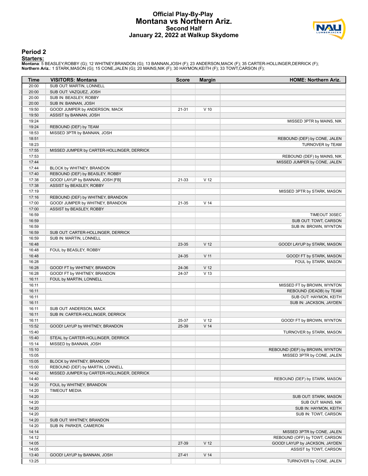#### **Official Play-By-Play Montana vs Northern Ariz. Second Half January 22, 2022 at Walkup Skydome**



#### **Period 2**

<mark>Starters:</mark><br>Montana: 5 BEASLEY,ROBBY (G); 12 WHITNEY,BRANDON (G); 13 BANNAN,JOSH (F); 23 ANDERSON,MACK (F); 35 CARTER-HOLLINGER,DERRICK (F);<br>**Northern Ariz.**: 1 STARK,MASON (G); 15 CONE,JALEN (G); 20 MAINS,NIK (F); 30 HAYM

| Time           | <b>VISITORS: Montana</b>                                     | <b>Score</b> | <b>Margin</b>   | <b>HOME: Northern Ariz.</b>                    |
|----------------|--------------------------------------------------------------|--------------|-----------------|------------------------------------------------|
| 20:00          | SUB OUT: MARTIN, LONNELL                                     |              |                 |                                                |
| 20:00          | SUB OUT: VAZQUEZ, JOSH                                       |              |                 |                                                |
| 20:00          | SUB IN: BEASLEY, ROBBY                                       |              |                 |                                                |
| 20:00          | SUB IN: BANNAN, JOSH                                         |              |                 |                                                |
| 19:50          | GOOD! JUMPER by ANDERSON, MACK                               | 21-31        | $V$ 10          |                                                |
| 19:50          | ASSIST by BANNAN, JOSH                                       |              |                 |                                                |
| 19:24          |                                                              |              |                 | MISSED 3PTR by MAINS, NIK                      |
| 19:24          | REBOUND (DEF) by TEAM                                        |              |                 |                                                |
| 18:53<br>18:51 | MISSED 3PTR by BANNAN, JOSH                                  |              |                 | REBOUND (DEF) by CONE, JALEN                   |
| 18:23          |                                                              |              |                 | TURNOVER by TEAM                               |
| 17:55          | MISSED JUMPER by CARTER-HOLLINGER, DERRICK                   |              |                 |                                                |
| 17:53          |                                                              |              |                 | REBOUND (DEF) by MAINS, NIK                    |
| 17:44          |                                                              |              |                 | MISSED JUMPER by CONE, JALEN                   |
| 17:44          | BLOCK by WHITNEY, BRANDON                                    |              |                 |                                                |
| 17:40          | REBOUND (DEF) by BEASLEY, ROBBY                              |              |                 |                                                |
| 17:38          | GOOD! LAYUP by BANNAN, JOSH [FB]                             | 21-33        | V <sub>12</sub> |                                                |
| 17:38          | ASSIST by BEASLEY, ROBBY                                     |              |                 |                                                |
| 17:19          |                                                              |              |                 | MISSED 3PTR by STARK, MASON                    |
| 17:16          | REBOUND (DEF) by WHITNEY, BRANDON                            |              |                 |                                                |
| 17:00          | GOOD! JUMPER by WHITNEY, BRANDON                             | 21-35        | V <sub>14</sub> |                                                |
| 17:00          | ASSIST by BEASLEY, ROBBY                                     |              |                 |                                                |
| 16:59          |                                                              |              |                 | TIMEOUT 30SEC                                  |
| 16:59          |                                                              |              |                 | SUB OUT: TOWT, CARSON<br>SUB IN: BROWN, WYNTON |
| 16:59<br>16:59 | SUB OUT: CARTER-HOLLINGER, DERRICK                           |              |                 |                                                |
| 16:59          | SUB IN: MARTIN, LONNELL                                      |              |                 |                                                |
| 16:48          |                                                              | 23-35        | V <sub>12</sub> | GOOD! LAYUP by STARK, MASON                    |
| 16:48          | FOUL by BEASLEY, ROBBY                                       |              |                 |                                                |
| 16:48          |                                                              | 24-35        | V <sub>11</sub> | GOOD! FT by STARK, MASON                       |
| 16:28          |                                                              |              |                 | FOUL by STARK, MASON                           |
| 16:28          | GOOD! FT by WHITNEY, BRANDON                                 | 24-36        | V <sub>12</sub> |                                                |
| 16:28          | GOOD! FT by WHITNEY, BRANDON                                 | 24-37        | V <sub>13</sub> |                                                |
| 16:11          | FOUL by MARTIN, LONNELL                                      |              |                 |                                                |
| 16:11          |                                                              |              |                 | MISSED FT by BROWN, WYNTON                     |
| 16:11          |                                                              |              |                 | REBOUND (DEADB) by TEAM                        |
| 16:11          |                                                              |              |                 | SUB OUT: HAYMON, KEITH                         |
| 16:11          |                                                              |              |                 | SUB IN: JACKSON, JAYDEN                        |
| 16:11<br>16:11 | SUB OUT: ANDERSON, MACK<br>SUB IN: CARTER-HOLLINGER, DERRICK |              |                 |                                                |
| 16:11          |                                                              | 25-37        | V <sub>12</sub> | GOOD! FT by BROWN, WYNTON                      |
| 15:52          | GOOD! LAYUP by WHITNEY, BRANDON                              | 25-39        | V <sub>14</sub> |                                                |
| 15:40          |                                                              |              |                 | TURNOVER by STARK, MASON                       |
| 15:40          | STEAL by CARTER-HOLLINGER, DERRICK                           |              |                 |                                                |
| 15:14          | MISSED by BANNAN, JOSH                                       |              |                 |                                                |
| 15:10          |                                                              |              |                 | REBOUND (DEF) by BROWN, WYNTON                 |
| 15:05          |                                                              |              |                 | MISSED 3PTR by CONE, JALEN                     |
| 15:05          | BLOCK by WHITNEY, BRANDON                                    |              |                 |                                                |
| 15:00          | REBOUND (DEF) by MARTIN, LONNELL                             |              |                 |                                                |
| 14:42          | MISSED JUMPER by CARTER-HOLLINGER, DERRICK                   |              |                 |                                                |
| 14:40          |                                                              |              |                 | REBOUND (DEF) by STARK, MASON                  |
| 14:20          | FOUL by WHITNEY, BRANDON                                     |              |                 |                                                |
| 14:20          | <b>TIMEOUT MEDIA</b>                                         |              |                 |                                                |
| 14:20          |                                                              |              |                 | SUB OUT: STARK, MASON                          |
| 14:20<br>14:20 |                                                              |              |                 | SUB OUT: MAINS, NIK<br>SUB IN: HAYMON, KEITH   |
| 14:20          |                                                              |              |                 | SUB IN: TOWT, CARSON                           |
| 14:20          | SUB OUT: WHITNEY, BRANDON                                    |              |                 |                                                |
| 14:20          | SUB IN: PARKER, CAMERON                                      |              |                 |                                                |
| 14:14          |                                                              |              |                 | MISSED 3PTR by CONE, JALEN                     |
| 14:12          |                                                              |              |                 | REBOUND (OFF) by TOWT, CARSON                  |
| 14:05          |                                                              | 27-39        | V <sub>12</sub> | GOOD! LAYUP by JACKSON, JAYDEN                 |
| 14:05          |                                                              |              |                 | ASSIST by TOWT, CARSON                         |
| 13:40          | GOOD! LAYUP by BANNAN, JOSH                                  | $27 - 41$    | V <sub>14</sub> |                                                |
| 13:25          |                                                              |              |                 | TURNOVER by CONE, JALEN                        |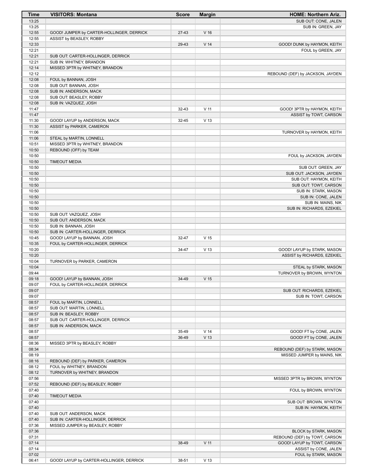| Time           | <b>VISITORS: Montana</b>                      | <b>Score</b> | <b>Margin</b>   | <b>HOME: Northern Ariz.</b>                            |
|----------------|-----------------------------------------------|--------------|-----------------|--------------------------------------------------------|
| 13:25          |                                               |              |                 | SUB OUT: CONE, JALEN                                   |
| 13:25          |                                               |              |                 | SUB IN: GREEN, JAY                                     |
| 12:55          | GOOD! JUMPER by CARTER-HOLLINGER, DERRICK     | 27-43        | V <sub>16</sub> |                                                        |
| 12:55          | ASSIST by BEASLEY, ROBBY                      |              |                 |                                                        |
| 12:33          |                                               | 29-43        | V <sub>14</sub> | GOOD! DUNK by HAYMON, KEITH                            |
| 12:21          |                                               |              |                 | FOUL by GREEN, JAY                                     |
| 12:21          | SUB OUT: CARTER-HOLLINGER, DERRICK            |              |                 |                                                        |
| 12:21          | SUB IN: WHITNEY, BRANDON                      |              |                 |                                                        |
| 12:14          | MISSED 3PTR by WHITNEY, BRANDON               |              |                 |                                                        |
| 12:12<br>12:08 |                                               |              |                 | REBOUND (DEF) by JACKSON, JAYDEN                       |
| 12:08          | FOUL by BANNAN, JOSH<br>SUB OUT: BANNAN, JOSH |              |                 |                                                        |
| 12:08          | SUB IN: ANDERSON, MACK                        |              |                 |                                                        |
| 12:08          | SUB OUT: BEASLEY, ROBBY                       |              |                 |                                                        |
| 12:08          | SUB IN: VAZQUEZ, JOSH                         |              |                 |                                                        |
| 11:47          |                                               | 32-43        | $V$ 11          | GOOD! 3PTR by HAYMON, KEITH                            |
| 11:47          |                                               |              |                 | ASSIST by TOWT, CARSON                                 |
| 11:30          | GOOD! LAYUP by ANDERSON, MACK                 | 32-45        | V <sub>13</sub> |                                                        |
| 11:30          | ASSIST by PARKER, CAMERON                     |              |                 |                                                        |
| 11:06          |                                               |              |                 | TURNOVER by HAYMON, KEITH                              |
| 11:06          | STEAL by MARTIN, LONNELL                      |              |                 |                                                        |
| 10:51          | MISSED 3PTR by WHITNEY, BRANDON               |              |                 |                                                        |
| 10:50          | REBOUND (OFF) by TEAM                         |              |                 |                                                        |
| 10:50          |                                               |              |                 | FOUL by JACKSON, JAYDEN                                |
| 10:50          | <b>TIMEOUT MEDIA</b>                          |              |                 |                                                        |
| 10:50          |                                               |              |                 | SUB OUT: GREEN, JAY                                    |
| 10:50          |                                               |              |                 | SUB OUT: JACKSON, JAYDEN                               |
| 10:50          |                                               |              |                 | SUB OUT: HAYMON, KEITH                                 |
| 10:50          |                                               |              |                 | SUB OUT: TOWT, CARSON                                  |
| 10:50          |                                               |              |                 | SUB IN: STARK, MASON                                   |
| 10:50          |                                               |              |                 | SUB IN: CONE, JALEN                                    |
| 10:50          |                                               |              |                 | SUB IN: MAINS, NIK                                     |
| 10:50          |                                               |              |                 | SUB IN: RICHARDS, EZEKIEL                              |
| 10:50          | SUB OUT: VAZQUEZ, JOSH                        |              |                 |                                                        |
| 10:50          | SUB OUT: ANDERSON, MACK                       |              |                 |                                                        |
| 10:50          | SUB IN: BANNAN, JOSH                          |              |                 |                                                        |
| 10:50          | SUB IN: CARTER-HOLLINGER, DERRICK             |              |                 |                                                        |
| 10:45          | GOOD! LAYUP by BANNAN, JOSH                   | 32-47        | V <sub>15</sub> |                                                        |
| 10:35          | FOUL by CARTER-HOLLINGER, DERRICK             |              |                 |                                                        |
| 10:20          |                                               | 34-47        | V <sub>13</sub> | GOOD! LAYUP by STARK, MASON                            |
| 10:20<br>10:04 |                                               |              |                 | ASSIST by RICHARDS, EZEKIEL                            |
| 10:04          | TURNOVER by PARKER, CAMERON                   |              |                 |                                                        |
| 09:44          |                                               |              |                 | STEAL by STARK, MASON<br>TURNOVER by BROWN, WYNTON     |
| 09:18          | GOOD! LAYUP by BANNAN, JOSH                   | 34-49        | V <sub>15</sub> |                                                        |
| 09:07          | FOUL by CARTER-HOLLINGER, DERRICK             |              |                 |                                                        |
| 09:07          |                                               |              |                 | SUB OUT: RICHARDS, EZEKIEL                             |
| 09:07          |                                               |              |                 | SUB IN: TOWT, CARSON                                   |
| 08:57          | FOUL by MARTIN, LONNELL                       |              |                 |                                                        |
| 08:57          | SUB OUT: MARTIN, LONNELL                      |              |                 |                                                        |
| 08:57          | SUB IN: BEASLEY, ROBBY                        |              |                 |                                                        |
| 08:57          | SUB OUT: CARTER-HOLLINGER, DERRICK            |              |                 |                                                        |
| 08:57          | SUB IN: ANDERSON, MACK                        |              |                 |                                                        |
| 08:57          |                                               | 35-49        | V <sub>14</sub> | GOOD! FT by CONE, JALEN                                |
| 08:57          |                                               | 36-49        | V <sub>13</sub> | GOOD! FT by CONE, JALEN                                |
| 08:36          | MISSED 3PTR by BEASLEY, ROBBY                 |              |                 |                                                        |
| 08:34          |                                               |              |                 | REBOUND (DEF) by STARK, MASON                          |
| 08:19          |                                               |              |                 | MISSED JUMPER by MAINS, NIK                            |
| 08:16          | REBOUND (DEF) by PARKER, CAMERON              |              |                 |                                                        |
| 08:12          | FOUL by WHITNEY, BRANDON                      |              |                 |                                                        |
| 08:12          | TURNOVER by WHITNEY, BRANDON                  |              |                 |                                                        |
| 07:56          |                                               |              |                 | MISSED 3PTR by BROWN, WYNTON                           |
| 07:52          | REBOUND (DEF) by BEASLEY, ROBBY               |              |                 |                                                        |
| 07:40          |                                               |              |                 | FOUL by BROWN, WYNTON                                  |
| 07:40          | <b>TIMEOUT MEDIA</b>                          |              |                 |                                                        |
| 07:40          |                                               |              |                 | SUB OUT: BROWN, WYNTON                                 |
| 07:40          |                                               |              |                 | SUB IN: HAYMON, KEITH                                  |
| 07:40          | SUB OUT: ANDERSON, MACK                       |              |                 |                                                        |
| 07:40          | SUB IN: CARTER-HOLLINGER, DERRICK             |              |                 |                                                        |
| 07:36          | MISSED JUMPER by BEASLEY, ROBBY               |              |                 |                                                        |
| 07:36<br>07:31 |                                               |              |                 | BLOCK by STARK, MASON<br>REBOUND (DEF) by TOWT, CARSON |
| 07:14          |                                               | 38-49        | $V$ 11          | GOOD! LAYUP by TOWT, CARSON                            |
| 07:14          |                                               |              |                 | ASSIST by CONE, JALEN                                  |
| 07:02          |                                               |              |                 | FOUL by STARK, MASON                                   |
| 06:41          | GOOD! LAYUP by CARTER-HOLLINGER, DERRICK      | 38-51        | V <sub>13</sub> |                                                        |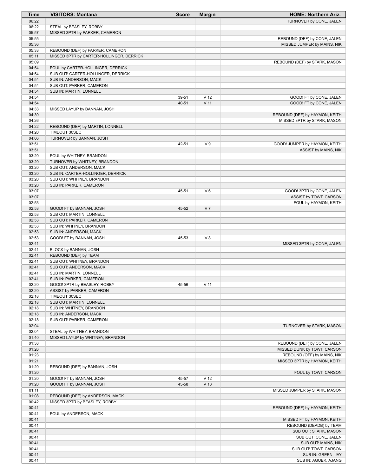| Time           | <b>VISITORS: Montana</b>                                                | <b>Score</b> | <b>Margin</b>   | <b>HOME: Northern Ariz.</b>                                 |
|----------------|-------------------------------------------------------------------------|--------------|-----------------|-------------------------------------------------------------|
| 06:22          |                                                                         |              |                 | TURNOVER by CONE, JALEN                                     |
| 06:22          | STEAL by BEASLEY, ROBBY                                                 |              |                 |                                                             |
| 05:57          | MISSED 3PTR by PARKER, CAMERON                                          |              |                 |                                                             |
| 05:55          |                                                                         |              |                 | REBOUND (DEF) by CONE, JALEN                                |
| 05:36          |                                                                         |              |                 | MISSED JUMPER by MAINS, NIK                                 |
| 05:33          | REBOUND (DEF) by PARKER, CAMERON                                        |              |                 |                                                             |
| 05:11          | MISSED 3PTR by CARTER-HOLLINGER, DERRICK                                |              |                 |                                                             |
| 05:09          |                                                                         |              |                 | REBOUND (DEF) by STARK, MASON                               |
| 04:54<br>04:54 | FOUL by CARTER-HOLLINGER, DERRICK<br>SUB OUT: CARTER-HOLLINGER, DERRICK |              |                 |                                                             |
| 04:54          | SUB IN: ANDERSON, MACK                                                  |              |                 |                                                             |
| 04:54          | SUB OUT: PARKER, CAMERON                                                |              |                 |                                                             |
| 04:54          | SUB IN: MARTIN, LONNELL                                                 |              |                 |                                                             |
| 04:54          |                                                                         | 39-51        | V <sub>12</sub> | GOOD! FT by CONE, JALEN                                     |
| 04:54          |                                                                         | 40-51        | $V$ 11          | GOOD! FT by CONE, JALEN                                     |
| 04:33          | MISSED LAYUP by BANNAN, JOSH                                            |              |                 |                                                             |
| 04:30          |                                                                         |              |                 | REBOUND (DEF) by HAYMON, KEITH                              |
| 04:26          |                                                                         |              |                 | MISSED 3PTR by STARK, MASON                                 |
| 04:22          | REBOUND (DEF) by MARTIN, LONNELL                                        |              |                 |                                                             |
| 04:20          | TIMEOUT 30SEC                                                           |              |                 |                                                             |
| 04:06          | TURNOVER by BANNAN, JOSH                                                |              |                 |                                                             |
| 03:51          |                                                                         | 42-51        | V <sub>9</sub>  | GOOD! JUMPER by HAYMON, KEITH                               |
| 03:51          |                                                                         |              |                 | ASSIST by MAINS, NIK                                        |
| 03:20          | FOUL by WHITNEY, BRANDON                                                |              |                 |                                                             |
| 03:20<br>03:20 | TURNOVER by WHITNEY, BRANDON<br>SUB OUT: ANDERSON, MACK                 |              |                 |                                                             |
| 03:20          | SUB IN: CARTER-HOLLINGER, DERRICK                                       |              |                 |                                                             |
| 03:20          | SUB OUT: WHITNEY, BRANDON                                               |              |                 |                                                             |
| 03:20          | SUB IN: PARKER, CAMERON                                                 |              |                 |                                                             |
| 03:07          |                                                                         | 45-51        | $V_6$           | GOOD! 3PTR by CONE, JALEN                                   |
| 03:07          |                                                                         |              |                 | ASSIST by TOWT, CARSON                                      |
| 02:53          |                                                                         |              |                 | FOUL by HAYMON, KEITH                                       |
| 02:53          | GOOD! FT by BANNAN, JOSH                                                | 45-52        | V <sub>7</sub>  |                                                             |
| 02:53          | SUB OUT: MARTIN, LONNELL                                                |              |                 |                                                             |
| 02:53          | SUB OUT: PARKER, CAMERON                                                |              |                 |                                                             |
| 02:53          | SUB IN: WHITNEY, BRANDON                                                |              |                 |                                                             |
| 02:53          | SUB IN: ANDERSON, MACK                                                  |              |                 |                                                             |
| 02:53          | GOOD! FT by BANNAN, JOSH                                                | 45-53        | V8              |                                                             |
| 02:41          |                                                                         |              |                 | MISSED 3PTR by CONE, JALEN                                  |
| 02:41          | BLOCK by BANNAN, JOSH                                                   |              |                 |                                                             |
| 02:41<br>02:41 | REBOUND (DEF) by TEAM<br>SUB OUT: WHITNEY, BRANDON                      |              |                 |                                                             |
| 02:41          | SUB OUT: ANDERSON, MACK                                                 |              |                 |                                                             |
| 02:41          | SUB IN: MARTIN, LONNELL                                                 |              |                 |                                                             |
| 02:41          | SUB IN: PARKER, CAMERON                                                 |              |                 |                                                             |
| 02:20          | GOOD! 3PTR by BEASLEY, ROBBY                                            | 45-56        | V <sub>11</sub> |                                                             |
| 02:20          | ASSIST by PARKER, CAMERON                                               |              |                 |                                                             |
| 02:18          | TIMEOUT 30SEC                                                           |              |                 |                                                             |
| 02:18          | SUB OUT: MARTIN, LONNELL                                                |              |                 |                                                             |
| 02:18          | SUB IN: WHITNEY, BRANDON                                                |              |                 |                                                             |
| 02:18          | SUB IN: ANDERSON, MACK                                                  |              |                 |                                                             |
| 02:18          | SUB OUT: PARKER, CAMERON                                                |              |                 |                                                             |
| 02:04          |                                                                         |              |                 | TURNOVER by STARK, MASON                                    |
| 02:04          | STEAL by WHITNEY, BRANDON                                               |              |                 |                                                             |
| 01:40          | MISSED LAYUP by WHITNEY, BRANDON                                        |              |                 |                                                             |
| 01:38          |                                                                         |              |                 | REBOUND (DEF) by CONE, JALEN                                |
| 01:26          |                                                                         |              |                 | MISSED DUNK by TOWT, CARSON                                 |
| 01:23<br>01:21 |                                                                         |              |                 | REBOUND (OFF) by MAINS, NIK<br>MISSED 3PTR by HAYMON, KEITH |
| 01:20          | REBOUND (DEF) by BANNAN, JOSH                                           |              |                 |                                                             |
| 01:20          |                                                                         |              |                 | FOUL by TOWT, CARSON                                        |
| 01:20          | GOOD! FT by BANNAN, JOSH                                                | 45-57        | V <sub>12</sub> |                                                             |
| 01:20          | GOOD! FT by BANNAN, JOSH                                                | 45-58        | V <sub>13</sub> |                                                             |
| 01:11          |                                                                         |              |                 | MISSED JUMPER by STARK, MASON                               |
| 01:08          | REBOUND (DEF) by ANDERSON, MACK                                         |              |                 |                                                             |
| 00:42          | MISSED 3PTR by BEASLEY, ROBBY                                           |              |                 |                                                             |
| 00:41          |                                                                         |              |                 | REBOUND (DEF) by HAYMON, KEITH                              |
| 00:41          | FOUL by ANDERSON, MACK                                                  |              |                 |                                                             |
| 00:41          |                                                                         |              |                 | MISSED FT by HAYMON, KEITH                                  |
| 00:41          |                                                                         |              |                 | REBOUND (DEADB) by TEAM                                     |
| 00:41          |                                                                         |              |                 | SUB OUT: STARK, MASON                                       |
| 00:41          |                                                                         |              |                 | SUB OUT: CONE, JALEN                                        |
| 00:41          |                                                                         |              |                 | SUB OUT: MAINS, NIK                                         |
| 00:41          |                                                                         |              |                 | SUB OUT: TOWT, CARSON                                       |
| 00:41          |                                                                         |              |                 | SUB IN: GREEN, JAY                                          |
| 00:41          |                                                                         |              |                 | SUB IN: AGUEK, AJANG                                        |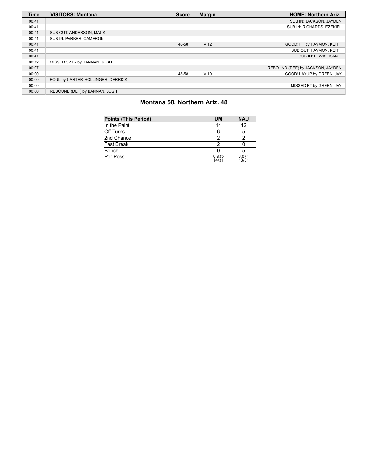| <b>Time</b> | <b>VISITORS: Montana</b>          | <b>Score</b> | <b>Margin</b>   | <b>HOME: Northern Ariz.</b>      |
|-------------|-----------------------------------|--------------|-----------------|----------------------------------|
| 00:41       |                                   |              |                 | SUB IN: JACKSON, JAYDEN          |
| 00:41       |                                   |              |                 | SUB IN: RICHARDS, EZEKIEL        |
| 00:41       | SUB OUT: ANDERSON, MACK           |              |                 |                                  |
| 00:41       | SUB IN: PARKER, CAMERON           |              |                 |                                  |
| 00:41       |                                   | 46-58        | V <sub>12</sub> | GOOD! FT by HAYMON, KEITH        |
| 00:41       |                                   |              |                 | SUB OUT: HAYMON, KEITH           |
| 00:41       |                                   |              |                 | SUB IN: LEWIS, ISAIAH            |
| 00:12       | MISSED 3PTR by BANNAN, JOSH       |              |                 |                                  |
| 00:07       |                                   |              |                 | REBOUND (DEF) by JACKSON, JAYDEN |
| 00:00       |                                   | 48-58        | $V$ 10          | GOOD! LAYUP by GREEN, JAY        |
| 00:00       | FOUL by CARTER-HOLLINGER, DERRICK |              |                 |                                  |
| 00:00       |                                   |              |                 | MISSED FT by GREEN, JAY          |
| 00:00       | REBOUND (DEF) by BANNAN, JOSH     |              |                 |                                  |

# **Montana 58, Northern Ariz. 48**

| <b>Points (This Period)</b> | UM             | <b>NAU</b>     |
|-----------------------------|----------------|----------------|
| In the Paint                | 14             | 12             |
| Off Turns                   | 6              | 5              |
| 2nd Chance                  | っ              |                |
| <b>Fast Break</b>           | っ              |                |
| Bench                       |                | 5              |
| Per Poss                    | 0.935<br>14/31 | 0.871<br>13/31 |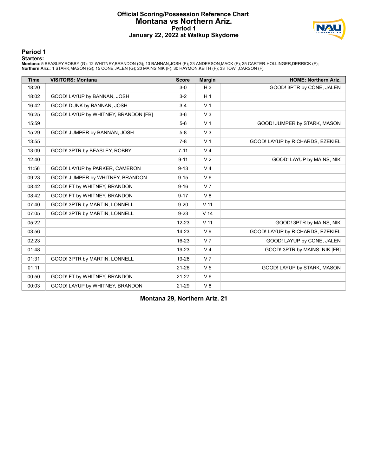#### **Official Scoring/Possession Reference Chart Montana vs Northern Ariz. Period 1 January 22, 2022 at Walkup Skydome**



#### **Period 1**

<mark>Starters:</mark><br>Montana: 5 BEASLEY,ROBBY (G); 12 WHITNEY,BRANDON (G); 13 BANNAN,JOSH (F); 23 ANDERSON,MACK (F); 35 CARTER-HOLLINGER,DERRICK (F);<br>**Northern Ariz.**: 1 STARK,MASON (G); 15 CONE,JALEN (G); 20 MAINS,NIK (F); 30 HAYM

| <b>Time</b> | <b>VISITORS: Montana</b>             | <b>Score</b> | <b>Margin</b>   | <b>HOME: Northern Ariz.</b>      |
|-------------|--------------------------------------|--------------|-----------------|----------------------------------|
| 18:20       |                                      | $3-0$        | $H_3$           | GOOD! 3PTR by CONE, JALEN        |
| 18:02       | GOOD! LAYUP by BANNAN, JOSH          | $3-2$        | H <sub>1</sub>  |                                  |
| 16:42       | GOOD! DUNK by BANNAN, JOSH           | $3 - 4$      | V <sub>1</sub>  |                                  |
| 16:25       | GOOD! LAYUP by WHITNEY, BRANDON [FB] | $3-6$        | V <sub>3</sub>  |                                  |
| 15:59       |                                      | $5-6$        | V <sub>1</sub>  | GOOD! JUMPER by STARK, MASON     |
| 15:29       | GOOD! JUMPER by BANNAN, JOSH         | $5-8$        | V <sub>3</sub>  |                                  |
| 13:55       |                                      | $7-8$        | V <sub>1</sub>  | GOOD! LAYUP by RICHARDS, EZEKIEL |
| 13:09       | GOOD! 3PTR by BEASLEY, ROBBY         | $7 - 11$     | V <sub>4</sub>  |                                  |
| 12:40       |                                      | $9 - 11$     | V <sub>2</sub>  | GOOD! LAYUP by MAINS, NIK        |
| 11:56       | GOOD! LAYUP by PARKER, CAMERON       | $9 - 13$     | V <sub>4</sub>  |                                  |
| 09:23       | GOOD! JUMPER by WHITNEY, BRANDON     | $9 - 15$     | $V_6$           |                                  |
| 08:42       | GOOD! FT by WHITNEY, BRANDON         | $9 - 16$     | V <sub>7</sub>  |                                  |
| 08:42       | GOOD! FT by WHITNEY, BRANDON         | $9 - 17$     | V8              |                                  |
| 07:40       | GOOD! 3PTR by MARTIN, LONNELL        | $9 - 20$     | V <sub>11</sub> |                                  |
| 07:05       | GOOD! 3PTR by MARTIN, LONNELL        | $9 - 23$     | V <sub>14</sub> |                                  |
| 05:22       |                                      | $12 - 23$    | V <sub>11</sub> | GOOD! 3PTR by MAINS, NIK         |
| 03:56       |                                      | 14-23        | V <sub>9</sub>  | GOOD! LAYUP by RICHARDS, EZEKIEL |
| 02:23       |                                      | 16-23        | V <sub>7</sub>  | GOOD! LAYUP by CONE, JALEN       |
| 01:48       |                                      | 19-23        | V <sub>4</sub>  | GOOD! 3PTR by MAINS, NIK [FB]    |
| 01:31       | GOOD! 3PTR by MARTIN, LONNELL        | 19-26        | V <sub>7</sub>  |                                  |
| 01:11       |                                      | $21 - 26$    | V <sub>5</sub>  | GOOD! LAYUP by STARK, MASON      |
| 00:50       | GOOD! FT by WHITNEY, BRANDON         | $21 - 27$    | $V_6$           |                                  |
| 00:03       | GOOD! LAYUP by WHITNEY, BRANDON      | 21-29        | V8              |                                  |

**Montana 29, Northern Ariz. 21**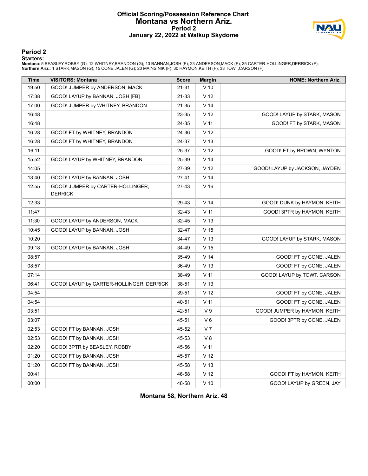#### **Official Scoring/Possession Reference Chart Montana vs Northern Ariz. Period 2 January 22, 2022 at Walkup Skydome**



#### **Period 2**

#### **Starters:**

Montana: 5 BEASLEY,ROBBY (G); 12 WHITNEY,BRANDON (G); 13 BANNAN,JOSH (F); 23 ANDERSON,MACK (F); 35 CARTER-HOLLINGER,DERRICK (F);<br>**Northern Ariz.**: 1 STARK,MASON (G); 15 CONE,JALEN (G); 20 MAINS,NIK (F); 30 HAYMON,KEITH (F)

| <b>Time</b> | <b>VISITORS: Montana</b>                            | <b>Score</b> | <b>Margin</b>   | <b>HOME: Northern Ariz.</b>    |
|-------------|-----------------------------------------------------|--------------|-----------------|--------------------------------|
| 19:50       | GOOD! JUMPER by ANDERSON, MACK                      | 21-31        | $V$ 10          |                                |
| 17:38       | GOOD! LAYUP by BANNAN, JOSH [FB]                    | 21-33        | V <sub>12</sub> |                                |
| 17:00       | GOOD! JUMPER by WHITNEY, BRANDON                    | 21-35        | V <sub>14</sub> |                                |
| 16:48       |                                                     | 23-35        | V <sub>12</sub> | GOOD! LAYUP by STARK, MASON    |
| 16:48       |                                                     | 24-35        | V <sub>11</sub> | GOOD! FT by STARK, MASON       |
| 16:28       | GOOD! FT by WHITNEY, BRANDON                        | 24-36        | V <sub>12</sub> |                                |
| 16:28       | GOOD! FT by WHITNEY, BRANDON                        | 24-37        | V <sub>13</sub> |                                |
| 16:11       |                                                     | 25-37        | V <sub>12</sub> | GOOD! FT by BROWN, WYNTON      |
| 15:52       | GOOD! LAYUP by WHITNEY, BRANDON                     | 25-39        | V <sub>14</sub> |                                |
| 14:05       |                                                     | 27-39        | V <sub>12</sub> | GOOD! LAYUP by JACKSON, JAYDEN |
| 13:40       | GOOD! LAYUP by BANNAN, JOSH                         | $27 - 41$    | V <sub>14</sub> |                                |
| 12:55       | GOOD! JUMPER by CARTER-HOLLINGER,<br><b>DERRICK</b> | $27-43$      | V <sub>16</sub> |                                |
| 12:33       |                                                     | 29-43        | V <sub>14</sub> | GOOD! DUNK by HAYMON, KEITH    |
| 11:47       |                                                     | 32-43        | $V$ 11          | GOOD! 3PTR by HAYMON, KEITH    |
| 11:30       | GOOD! LAYUP by ANDERSON, MACK                       | 32-45        | V <sub>13</sub> |                                |
| 10:45       | GOOD! LAYUP by BANNAN, JOSH                         | 32-47        | V <sub>15</sub> |                                |
| 10:20       |                                                     | 34-47        | V <sub>13</sub> | GOOD! LAYUP by STARK, MASON    |
| 09:18       | GOOD! LAYUP by BANNAN, JOSH                         | 34-49        | V <sub>15</sub> |                                |
| 08:57       |                                                     | 35-49        | V <sub>14</sub> | GOOD! FT by CONE, JALEN        |
| 08:57       |                                                     | 36-49        | V <sub>13</sub> | GOOD! FT by CONE, JALEN        |
| 07:14       |                                                     | 38-49        | $V$ 11          | GOOD! LAYUP by TOWT, CARSON    |
| 06:41       | GOOD! LAYUP by CARTER-HOLLINGER, DERRICK            | 38-51        | V <sub>13</sub> |                                |
| 04:54       |                                                     | 39-51        | V <sub>12</sub> | GOOD! FT by CONE, JALEN        |
| 04:54       |                                                     | 40-51        | $V$ 11          | GOOD! FT by CONE, JALEN        |
| 03:51       |                                                     | 42-51        | V <sub>9</sub>  | GOOD! JUMPER by HAYMON, KEITH  |
| 03:07       |                                                     | 45-51        | $V_6$           | GOOD! 3PTR by CONE, JALEN      |
| 02:53       | GOOD! FT by BANNAN, JOSH                            | 45-52        | V <sub>7</sub>  |                                |
| 02:53       | GOOD! FT by BANNAN, JOSH                            | 45-53        | V 8             |                                |
| 02:20       | GOOD! 3PTR by BEASLEY, ROBBY                        | 45-56        | $V$ 11          |                                |
| 01:20       | GOOD! FT by BANNAN, JOSH                            | 45-57        | V <sub>12</sub> |                                |
| 01:20       | GOOD! FT by BANNAN, JOSH                            | 45-58        | V <sub>13</sub> |                                |
| 00:41       |                                                     | 46-58        | V <sub>12</sub> | GOOD! FT by HAYMON, KEITH      |
| 00:00       |                                                     | 48-58        | $V$ 10          | GOOD! LAYUP by GREEN, JAY      |

**Montana 58, Northern Ariz. 48**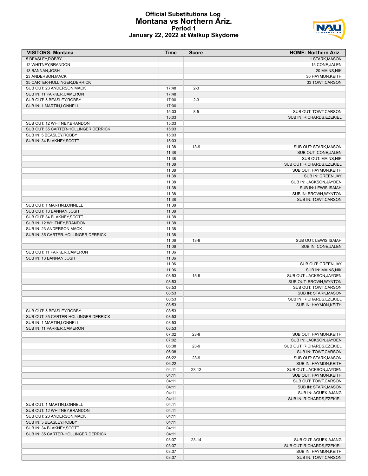#### **Official Substitutions Log Montana vs Northern Ariz. Period 1 January 22, 2022 at Walkup Skydome**



| <b>VISITORS: Montana</b>                              | Time           | <b>Score</b> | <b>HOME: Northern Ariz.</b>                       |
|-------------------------------------------------------|----------------|--------------|---------------------------------------------------|
| 5 BEASLEY, ROBBY                                      |                |              | 1 STARK, MASON                                    |
| 12 WHITNEY, BRANDON                                   |                |              | 15 CONE, JALEN                                    |
| 13 BANNAN, JOSH                                       |                |              | 20 MAINS, NIK                                     |
| 23 ANDERSON, MACK                                     |                |              | 30 HAYMON, KEITH                                  |
| 35 CARTER-HOLLINGER, DERRICK                          |                |              | 33 TOWT, CARSON                                   |
| SUB OUT: 23 ANDERSON.MACK                             | 17:48          | $2 - 3$      |                                                   |
| SUB IN: 11 PARKER, CAMERON                            | 17:48          |              |                                                   |
| SUB OUT: 5 BEASLEY, ROBBY                             | 17:00          | $2 - 3$      |                                                   |
| SUB IN: 1 MARTIN, LONNELL                             | 17:00          |              |                                                   |
|                                                       | 15:03          | $8 - 5$      | SUB OUT: TOWT, CARSON                             |
|                                                       | 15:03          |              | SUB IN: RICHARDS, EZEKIEL                         |
| SUB OUT: 12 WHITNEY, BRANDON                          | 15:03          |              |                                                   |
| SUB OUT: 35 CARTER-HOLLINGER, DERRICK                 | 15:03          |              |                                                   |
| SUB IN: 5 BEASLEY, ROBBY<br>SUB IN: 34 BLAKNEY, SCOTT | 15:03          |              |                                                   |
|                                                       | 15:03<br>11:38 | $13-9$       | SUB OUT: STARK, MASON                             |
|                                                       | 11:38          |              | SUB OUT: CONE, JALEN                              |
|                                                       | 11:38          |              | SUB OUT: MAINS, NIK                               |
|                                                       | 11:38          |              | SUB OUT: RICHARDS, EZEKIEL                        |
|                                                       | 11:38          |              | SUB OUT: HAYMON, KEITH                            |
|                                                       | 11:38          |              | SUB IN: GREEN, JAY                                |
|                                                       | 11:38          |              | SUB IN: JACKSON, JAYDEN                           |
|                                                       | 11:38          |              | SUB IN: LEWIS, ISAIAH                             |
|                                                       | 11:38          |              | SUB IN: BROWN, WYNTON                             |
|                                                       | 11:38          |              | SUB IN: TOWT, CARSON                              |
| SUB OUT: 1 MARTIN, LONNELL                            | 11:38          |              |                                                   |
| SUB OUT: 13 BANNAN, JOSH                              | 11:38          |              |                                                   |
| SUB OUT: 34 BLAKNEY, SCOTT                            | 11:38          |              |                                                   |
| SUB IN: 12 WHITNEY, BRANDON                           | 11:38          |              |                                                   |
| SUB IN: 23 ANDERSON, MACK                             | 11:38          |              |                                                   |
| SUB IN: 35 CARTER-HOLLINGER, DERRICK                  | 11:38          |              |                                                   |
|                                                       | 11:06          | $13-9$       | SUB OUT: LEWIS, ISAIAH                            |
|                                                       | 11:06          |              | SUB IN: CONE, JALEN                               |
| SUB OUT: 11 PARKER, CAMERON                           | 11:06          |              |                                                   |
| SUB IN: 13 BANNAN, JOSH                               | 11:06          |              |                                                   |
|                                                       | 11:06          |              | SUB OUT: GREEN, JAY                               |
|                                                       | 11:06          |              | SUB IN: MAINS, NIK                                |
|                                                       | 08:53          | $15-9$       | SUB OUT: JACKSON, JAYDEN                          |
|                                                       | 08:53          |              | SUB OUT: BROWN, WYNTON                            |
|                                                       | 08:53          |              | SUB OUT: TOWT, CARSON                             |
|                                                       | 08:53          |              | <b>SUB IN: STARK, MASON</b>                       |
|                                                       | 08:53          |              | SUB IN: RICHARDS, EZEKIEL                         |
|                                                       | 08:53          |              | SUB IN: HAYMON, KEITH                             |
| SUB OUT: 5 BEASLEY.ROBBY                              | 08:53          |              |                                                   |
| SUB OUT: 35 CARTER-HOLLINGER, DERRICK                 | 08:53          |              |                                                   |
| SUB IN: 1 MARTIN, LONNELL                             | 08:53          |              |                                                   |
| SUB IN: 11 PARKER, CAMERON                            | 08:53          |              |                                                   |
|                                                       | 07:02          | $23-9$       | SUB OUT: HAYMON, KEITH                            |
|                                                       | 07:02          |              | SUB IN: JACKSON, JAYDEN                           |
|                                                       | 06:38          | $23-9$       | SUB OUT: RICHARDS, EZEKIEL                        |
|                                                       | 06:38          |              | SUB IN: TOWT, CARSON                              |
|                                                       | 06:22          | $23-9$       | SUB OUT: STARK, MASON                             |
|                                                       | 06:22          |              | SUB IN: HAYMON, KEITH                             |
|                                                       | 04:11          | $23-12$      | SUB OUT: JACKSON, JAYDEN                          |
|                                                       | 04:11          |              | SUB OUT: HAYMON, KEITH                            |
|                                                       | 04:11          |              | SUB OUT: TOWT, CARSON                             |
|                                                       | 04:11          |              | <b>SUB IN: STARK, MASON</b>                       |
|                                                       | 04:11<br>04:11 |              | SUB IN: AGUEK, AJANG<br>SUB IN: RICHARDS, EZEKIEL |
| SUB OUT: 1 MARTIN, LONNELL                            | 04:11          |              |                                                   |
| SUB OUT: 12 WHITNEY, BRANDON                          | 04:11          |              |                                                   |
| SUB OUT: 23 ANDERSON, MACK                            | 04:11          |              |                                                   |
| SUB IN: 5 BEASLEY, ROBBY                              | 04:11          |              |                                                   |
| SUB IN: 34 BLAKNEY, SCOTT                             | 04:11          |              |                                                   |
| SUB IN: 35 CARTER-HOLLINGER, DERRICK                  | 04:11          |              |                                                   |
|                                                       | 03:37          | $23 - 14$    | SUB OUT: AGUEK, AJANG                             |
|                                                       | 03:37          |              | SUB OUT: RICHARDS, EZEKIEL                        |
|                                                       | 03:37          |              | SUB IN: HAYMON, KEITH                             |
|                                                       | 03:37          |              | SUB IN: TOWT, CARSON                              |
|                                                       |                |              |                                                   |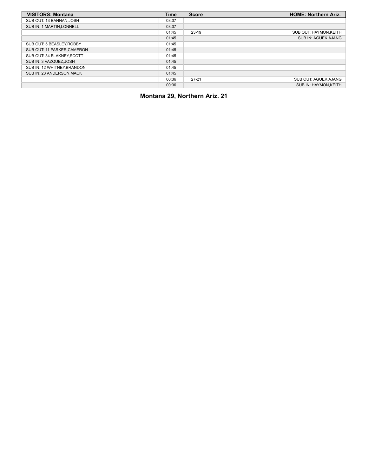| <b>VISITORS: Montana</b>    | Time  | <b>Score</b> | <b>HOME: Northern Ariz.</b> |
|-----------------------------|-------|--------------|-----------------------------|
| SUB OUT: 13 BANNAN, JOSH    | 03:37 |              |                             |
| SUB IN: 1 MARTIN, LONNELL   | 03:37 |              |                             |
|                             | 01:45 | $23-19$      | SUB OUT: HAYMON, KEITH      |
|                             | 01:45 |              | SUB IN: AGUEK, AJANG        |
| SUB OUT: 5 BEASLEY.ROBBY    | 01:45 |              |                             |
| SUB OUT: 11 PARKER, CAMERON | 01:45 |              |                             |
| SUB OUT: 34 BLAKNEY.SCOTT   | 01:45 |              |                             |
| SUB IN: 3 VAZQUEZ.JOSH      | 01:45 |              |                             |
| SUB IN: 12 WHITNEY, BRANDON | 01:45 |              |                             |
| SUB IN: 23 ANDERSON.MACK    | 01:45 |              |                             |
|                             | 00:36 | $27-21$      | SUB OUT: AGUEK, AJANG       |
|                             | 00:36 |              | SUB IN: HAYMON.KEITH        |

**Montana 29, Northern Ariz. 21**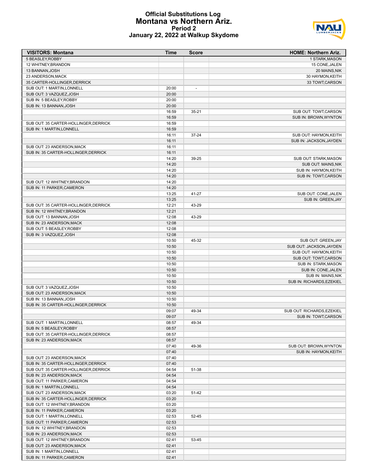#### **Official Substitutions Log Montana vs Northern Ariz. Period 2 January 22, 2022 at Walkup Skydome**



| <b>VISITORS: Montana</b>              | Time  | <b>Score</b>             | <b>HOME: Northern Ariz.</b> |
|---------------------------------------|-------|--------------------------|-----------------------------|
| 5 BEASLEY, ROBBY                      |       |                          | 1 STARK, MASON              |
| 12 WHITNEY, BRANDON                   |       |                          | 15 CONE, JALEN              |
| 13 BANNAN, JOSH                       |       |                          | 20 MAINS, NIK               |
| 23 ANDERSON, MACK                     |       |                          | 30 HAYMON, KEITH            |
| 35 CARTER-HOLLINGER, DERRICK          |       |                          | 33 TOWT, CARSON             |
| SUB OUT: 1 MARTIN, LONNELL            | 20:00 | $\overline{\phantom{a}}$ |                             |
| SUB OUT: 3 VAZQUEZ, JOSH              | 20:00 |                          |                             |
| SUB IN: 5 BEASLEY, ROBBY              | 20:00 |                          |                             |
| SUB IN: 13 BANNAN, JOSH               | 20:00 |                          |                             |
|                                       | 16:59 | $35 - 21$                | SUB OUT: TOWT, CARSON       |
|                                       | 16:59 |                          | SUB IN: BROWN, WYNTON       |
| SUB OUT: 35 CARTER-HOLLINGER, DERRICK | 16:59 |                          |                             |
| SUB IN: 1 MARTIN, LONNELL             | 16:59 |                          |                             |
|                                       |       |                          |                             |
|                                       | 16:11 | 37-24                    | SUB OUT: HAYMON, KEITH      |
|                                       | 16:11 |                          | SUB IN: JACKSON, JAYDEN     |
| SUB OUT: 23 ANDERSON, MACK            | 16:11 |                          |                             |
| SUB IN: 35 CARTER-HOLLINGER, DERRICK  | 16:11 |                          |                             |
|                                       | 14:20 | 39-25                    | SUB OUT: STARK, MASON       |
|                                       | 14:20 |                          | SUB OUT: MAINS, NIK         |
|                                       | 14:20 |                          | SUB IN: HAYMON, KEITH       |
|                                       | 14:20 |                          | SUB IN: TOWT, CARSON        |
| SUB OUT: 12 WHITNEY, BRANDON          | 14:20 |                          |                             |
| SUB IN: 11 PARKER, CAMERON            | 14:20 |                          |                             |
|                                       | 13:25 | 41-27                    | SUB OUT: CONE, JALEN        |
|                                       | 13:25 |                          | SUB IN: GREEN, JAY          |
| SUB OUT: 35 CARTER-HOLLINGER, DERRICK | 12:21 | 43-29                    |                             |
| SUB IN: 12 WHITNEY, BRANDON           | 12:21 |                          |                             |
| SUB OUT: 13 BANNAN, JOSH              | 12:08 | 43-29                    |                             |
| SUB IN: 23 ANDERSON, MACK             | 12:08 |                          |                             |
| SUB OUT: 5 BEASLEY, ROBBY             | 12:08 |                          |                             |
| SUB IN: 3 VAZQUEZ, JOSH               | 12:08 |                          |                             |
|                                       | 10:50 | 45-32                    | SUB OUT: GREEN, JAY         |
|                                       | 10:50 |                          | SUB OUT: JACKSON, JAYDEN    |
|                                       | 10:50 |                          | SUB OUT: HAYMON, KEITH      |
|                                       | 10:50 |                          | SUB OUT: TOWT, CARSON       |
|                                       |       |                          |                             |
|                                       | 10:50 |                          | SUB IN: STARK, MASON        |
|                                       | 10:50 |                          | SUB IN: CONE, JALEN         |
|                                       | 10:50 |                          | SUB IN: MAINS, NIK          |
|                                       | 10:50 |                          | SUB IN: RICHARDS, EZEKIEL   |
| SUB OUT: 3 VAZQUEZ, JOSH              | 10:50 |                          |                             |
| SUB OUT: 23 ANDERSON, MACK            | 10:50 |                          |                             |
| SUB IN: 13 BANNAN, JOSH               | 10:50 |                          |                             |
| SUB IN: 35 CARTER-HOLLINGER, DERRICK  | 10:50 |                          |                             |
|                                       | 09:07 | 49-34                    | SUB OUT: RICHARDS, EZEKIEL  |
|                                       | 09:07 |                          | SUB IN: TOWT, CARSON        |
| SUB OUT: 1 MARTIN, LONNELL            | 08:57 | 49-34                    |                             |
| SUB IN: 5 BEASLEY, ROBBY              | 08:57 |                          |                             |
| SUB OUT: 35 CARTER-HOLLINGER, DERRICK | 08:57 |                          |                             |
| SUB IN: 23 ANDERSON, MACK             | 08:57 |                          |                             |
|                                       | 07:40 | 49-36                    | SUB OUT: BROWN, WYNTON      |
|                                       | 07:40 |                          | SUB IN: HAYMON, KEITH       |
| SUB OUT: 23 ANDERSON, MACK            | 07:40 |                          |                             |
| SUB IN: 35 CARTER-HOLLINGER, DERRICK  | 07:40 |                          |                             |
| SUB OUT: 35 CARTER-HOLLINGER, DERRICK | 04:54 | 51-38                    |                             |
| SUB IN: 23 ANDERSON, MACK             | 04:54 |                          |                             |
|                                       | 04:54 |                          |                             |
| SUB OUT: 11 PARKER, CAMERON           |       |                          |                             |
| SUB IN: 1 MARTIN, LONNELL             | 04:54 |                          |                             |
| SUB OUT: 23 ANDERSON, MACK            | 03:20 | 51-42                    |                             |
| SUB IN: 35 CARTER-HOLLINGER, DERRICK  | 03:20 |                          |                             |
| SUB OUT: 12 WHITNEY, BRANDON          | 03:20 |                          |                             |
| SUB IN: 11 PARKER, CAMERON            | 03:20 |                          |                             |
| SUB OUT: 1 MARTIN, LONNELL            | 02:53 | 52-45                    |                             |
| SUB OUT: 11 PARKER, CAMERON           | 02:53 |                          |                             |
| SUB IN: 12 WHITNEY, BRANDON           | 02:53 |                          |                             |
| SUB IN: 23 ANDERSON, MACK             | 02:53 |                          |                             |
| SUB OUT: 12 WHITNEY, BRANDON          | 02:41 | 53-45                    |                             |
| SUB OUT: 23 ANDERSON, MACK            | 02:41 |                          |                             |
| SUB IN: 1 MARTIN, LONNELL             | 02:41 |                          |                             |
| SUB IN: 11 PARKER, CAMERON            | 02:41 |                          |                             |